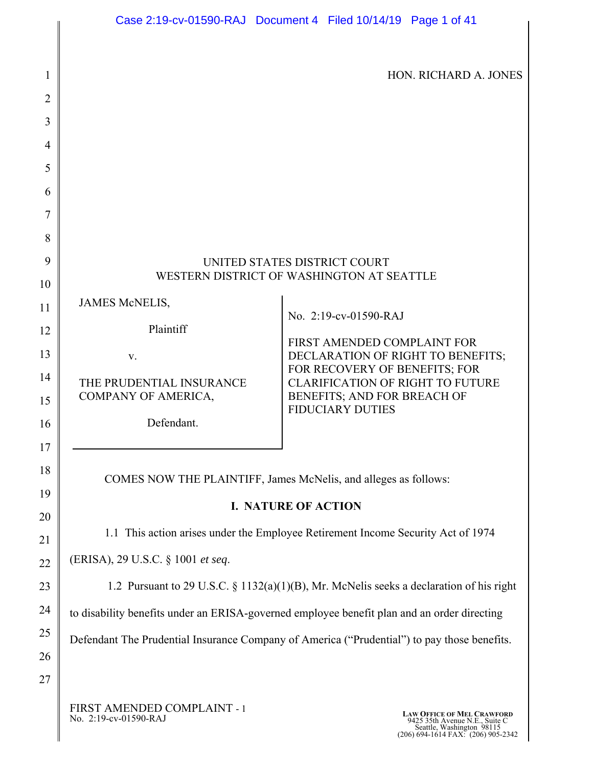HON. RICHARD A. JONES

# UNITED STATES DISTRICT COURT WESTERN DISTRICT OF WASHINGTON AT SEATTLE JAMES McNELIS, Plaintiff v. THE PRUDENTIAL INSURANCE COMPANY OF AMERICA, Defendant. No. 2:19-cv-01590-RAJ FIRST AMENDED COMPLAINT FOR DECLARATION OF RIGHT TO BENEFITS; FOR RECOVERY OF BENEFITS; FOR CLARIFICATION OF RIGHT TO FUTURE BENEFITS; AND FOR BREACH OF FIDUCIARY DUTIES COMES NOW THE PLAINTIFF, James McNelis, and alleges as follows: **I. NATURE OF ACTION** 1.1 This action arises under the Employee Retirement Income Security Act of 1974 (ERISA), 29 U.S.C. § 1001 *et seq*. 1.2 Pursuant to 29 U.S.C. § 1132(a)(1)(B), Mr. McNelis seeks a declaration of his right to disability benefits under an ERISA-governed employee benefit plan and an order directing Defendant The Prudential Insurance Company of America ("Prudential") to pay those benefits.

FIRST AMENDED COMPLAINT - 1<br>No. 2:19-cv-01590-RAJ

1

2

3

4

5

6

7

8

9

10

11

12

13

14

15

16

17

18

19

20

21

22

23

24

25

26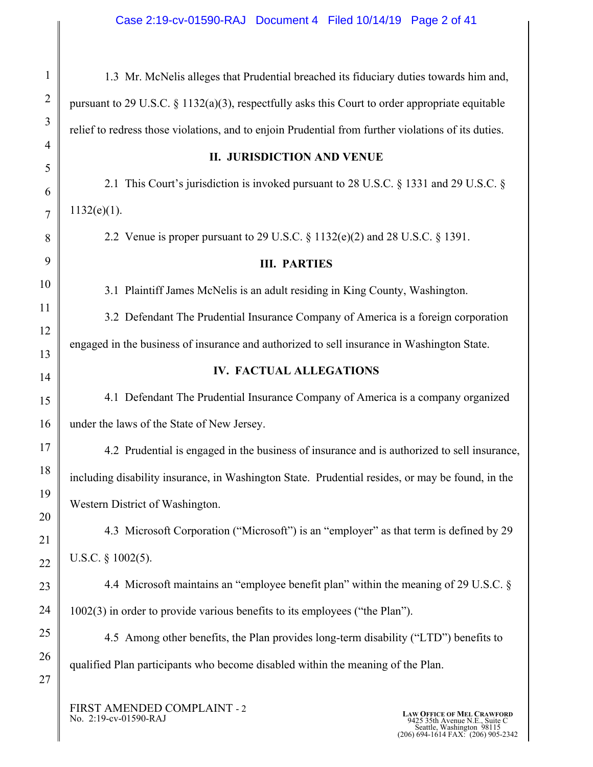| $\mathbf{1}$   | 1.3 Mr. McNelis alleges that Prudential breached its fiduciary duties towards him and,              |
|----------------|-----------------------------------------------------------------------------------------------------|
| $\overline{2}$ | pursuant to 29 U.S.C. $\S 1132(a)(3)$ , respectfully asks this Court to order appropriate equitable |
| 3              | relief to redress those violations, and to enjoin Prudential from further violations of its duties. |
| $\overline{4}$ | <b>II. JURISDICTION AND VENUE</b>                                                                   |
| 5<br>6         | 2.1 This Court's jurisdiction is invoked pursuant to 28 U.S.C. § 1331 and 29 U.S.C. §               |
| $\overline{7}$ | $1132(e)(1)$ .                                                                                      |
| 8              | 2.2 Venue is proper pursuant to 29 U.S.C. $\S 1132(e)(2)$ and 28 U.S.C. $\S 1391$ .                 |
| 9              | <b>III. PARTIES</b>                                                                                 |
| 10             | 3.1 Plaintiff James McNelis is an adult residing in King County, Washington.                        |
| 11             | 3.2 Defendant The Prudential Insurance Company of America is a foreign corporation                  |
| 12             | engaged in the business of insurance and authorized to sell insurance in Washington State.          |
| 13             | <b>IV. FACTUAL ALLEGATIONS</b>                                                                      |
| 14             | 4.1 Defendant The Prudential Insurance Company of America is a company organized                    |
| 15<br>16       | under the laws of the State of New Jersey.                                                          |
| 17             |                                                                                                     |
| 18             | 4.2 Prudential is engaged in the business of insurance and is authorized to sell insurance,         |
| 19             | including disability insurance, in Washington State. Prudential resides, or may be found, in the    |
| 20             | Western District of Washington.                                                                     |
| 21             | 4.3 Microsoft Corporation ("Microsoft") is an "employer" as that term is defined by 29              |
| 22             | U.S.C. $\S$ 1002(5).                                                                                |
| 23             | 4.4 Microsoft maintains an "employee benefit plan" within the meaning of 29 U.S.C. §                |
| 24             | 1002(3) in order to provide various benefits to its employees ("the Plan").                         |
| 25             | 4.5 Among other benefits, the Plan provides long-term disability ("LTD") benefits to                |
| 26             | qualified Plan participants who become disabled within the meaning of the Plan.                     |
| 27             |                                                                                                     |
|                |                                                                                                     |

FIRST AMENDED COMPLAINT - 2 No. 2:19-cv-01590-RAJ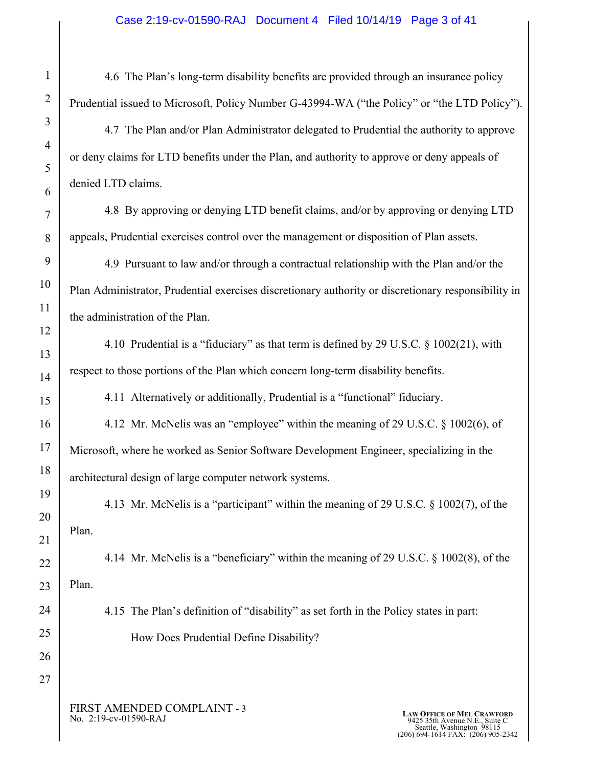4.6 The Plan's long-term disability benefits are provided through an insurance policy Prudential issued to Microsoft, Policy Number G-43994-WA ("the Policy" or "the LTD Policy").

 4.7 The Plan and/or Plan Administrator delegated to Prudential the authority to approve or deny claims for LTD benefits under the Plan, and authority to approve or deny appeals of denied LTD claims.

 4.8 By approving or denying LTD benefit claims, and/or by approving or denying LTD appeals, Prudential exercises control over the management or disposition of Plan assets.

 4.9 Pursuant to law and/or through a contractual relationship with the Plan and/or the Plan Administrator, Prudential exercises discretionary authority or discretionary responsibility in the administration of the Plan.

 4.10 Prudential is a "fiduciary" as that term is defined by 29 U.S.C. § 1002(21), with respect to those portions of the Plan which concern long-term disability benefits.

4.11 Alternatively or additionally, Prudential is a "functional" fiduciary.

 4.12 Mr. McNelis was an "employee" within the meaning of 29 U.S.C. § 1002(6), of Microsoft, where he worked as Senior Software Development Engineer, specializing in the architectural design of large computer network systems.

4.13 Mr. McNelis is a "participant" within the meaning of 29 U.S.C. § 1002(7), of the Plan.

 4.14 Mr. McNelis is a "beneficiary" within the meaning of 29 U.S.C. § 1002(8), of the Plan.

 4.15 The Plan's definition of "disability" as set forth in the Policy states in part: How Does Prudential Define Disability?

FIRST AMENDED COMPLAINT - 3<br>No. 2:19-cv-01590-RAJ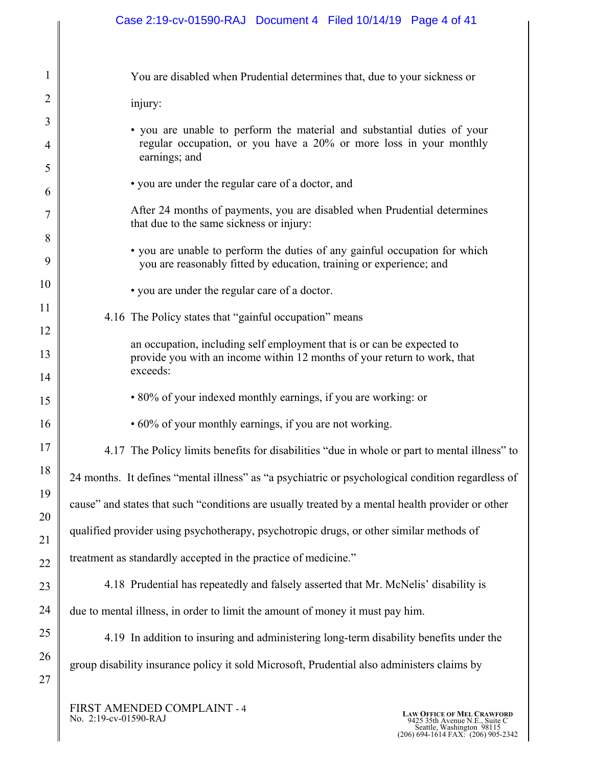| $\mathbf{1}$   | You are disabled when Prudential determines that, due to your sickness or                                                                          |
|----------------|----------------------------------------------------------------------------------------------------------------------------------------------------|
| $\overline{2}$ | injury:                                                                                                                                            |
| 3              | • you are unable to perform the material and substantial duties of your                                                                            |
| 4              | regular occupation, or you have a 20% or more loss in your monthly<br>earnings; and                                                                |
| 5              | • you are under the regular care of a doctor, and                                                                                                  |
| 6              |                                                                                                                                                    |
| 7<br>8         | After 24 months of payments, you are disabled when Prudential determines<br>that due to the same sickness or injury:                               |
| 9              | • you are unable to perform the duties of any gainful occupation for which<br>you are reasonably fitted by education, training or experience; and  |
| 10             | • you are under the regular care of a doctor.                                                                                                      |
| 11             | 4.16 The Policy states that "gainful occupation" means                                                                                             |
| 12             |                                                                                                                                                    |
| 13             | an occupation, including self employment that is or can be expected to<br>provide you with an income within 12 months of your return to work, that |
| 14             | exceeds:                                                                                                                                           |
| 15             | • 80% of your indexed monthly earnings, if you are working: or                                                                                     |
| 16             | • 60% of your monthly earnings, if you are not working.                                                                                            |
| 17             | 4.17 The Policy limits benefits for disabilities "due in whole or part to mental illness" to                                                       |
| 18             | 24 months. It defines "mental illness" as "a psychiatric or psychological condition regardless of                                                  |
| 19             | cause" and states that such "conditions are usually treated by a mental health provider or other                                                   |
| 20             | qualified provider using psychotherapy, psychotropic drugs, or other similar methods of                                                            |
| 21             | treatment as standardly accepted in the practice of medicine."                                                                                     |
| 22             |                                                                                                                                                    |
| 23             | 4.18 Prudential has repeatedly and falsely asserted that Mr. McNelis' disability is                                                                |
| 24             | due to mental illness, in order to limit the amount of money it must pay him.                                                                      |
| 25             | 4.19 In addition to insuring and administering long-term disability benefits under the                                                             |
| 26             | group disability insurance policy it sold Microsoft, Prudential also administers claims by                                                         |
| 27             |                                                                                                                                                    |
|                |                                                                                                                                                    |

FIRST AMENDED COMPLAINT - 4 No. 2:19-cv-01590-RAJ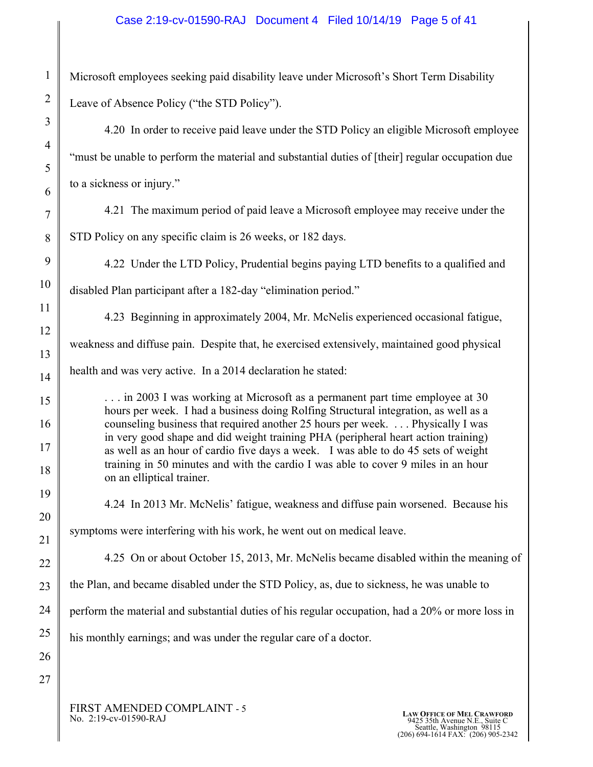#### Case 2:19-cv-01590-RAJ Document 4 Filed 10/14/19 Page 5 of 41

Microsoft employees seeking paid disability leave under Microsoft's Short Term Disability Leave of Absence Policy ("the STD Policy").

4.20 In order to receive paid leave under the STD Policy an eligible Microsoft employee "must be unable to perform the material and substantial duties of [their] regular occupation due to a sickness or injury."

4.21 The maximum period of paid leave a Microsoft employee may receive under the STD Policy on any specific claim is 26 weeks, or 182 days.

4.22 Under the LTD Policy, Prudential begins paying LTD benefits to a qualified and disabled Plan participant after a 182-day "elimination period."

4.23 Beginning in approximately 2004, Mr. McNelis experienced occasional fatigue, weakness and diffuse pain. Despite that, he exercised extensively, maintained good physical health and was very active. In a 2014 declaration he stated:

. . . in 2003 I was working at Microsoft as a permanent part time employee at 30 hours per week. I had a business doing Rolfing Structural integration, as well as a counseling business that required another 25 hours per week. . . . Physically I was in very good shape and did weight training PHA (peripheral heart action training) as well as an hour of cardio five days a week. I was able to do 45 sets of weight training in 50 minutes and with the cardio I was able to cover 9 miles in an hour on an elliptical trainer.

4.24 In 2013 Mr. McNelis' fatigue, weakness and diffuse pain worsened. Because his

symptoms were interfering with his work, he went out on medical leave.

4.25 On or about October 15, 2013, Mr. McNelis became disabled within the meaning of

the Plan, and became disabled under the STD Policy, as, due to sickness, he was unable to

perform the material and substantial duties of his regular occupation, had a 20% or more loss in

his monthly earnings; and was under the regular care of a doctor.

FIRST AMENDED COMPLAINT - 5<br>No. 2:19-cv-01590-RAJ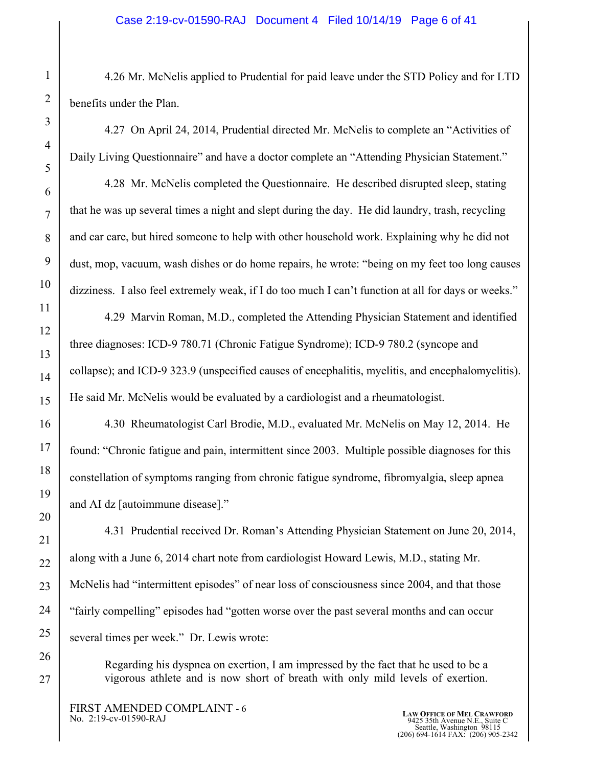#### Case 2:19-cv-01590-RAJ Document 4 Filed 10/14/19 Page 6 of 41

4.26 Mr. McNelis applied to Prudential for paid leave under the STD Policy and for LTD benefits under the Plan.

4.27 On April 24, 2014, Prudential directed Mr. McNelis to complete an "Activities of Daily Living Questionnaire" and have a doctor complete an "Attending Physician Statement."

4.28 Mr. McNelis completed the Questionnaire. He described disrupted sleep, stating that he was up several times a night and slept during the day. He did laundry, trash, recycling and car care, but hired someone to help with other household work. Explaining why he did not dust, mop, vacuum, wash dishes or do home repairs, he wrote: "being on my feet too long causes dizziness. I also feel extremely weak, if I do too much I can't function at all for days or weeks."

4.29 Marvin Roman, M.D., completed the Attending Physician Statement and identified three diagnoses: ICD-9 780.71 (Chronic Fatigue Syndrome); ICD-9 780.2 (syncope and collapse); and ICD-9 323.9 (unspecified causes of encephalitis, myelitis, and encephalomyelitis). He said Mr. McNelis would be evaluated by a cardiologist and a rheumatologist.

4.30 Rheumatologist Carl Brodie, M.D., evaluated Mr. McNelis on May 12, 2014. He found: "Chronic fatigue and pain, intermittent since 2003. Multiple possible diagnoses for this constellation of symptoms ranging from chronic fatigue syndrome, fibromyalgia, sleep apnea and AI dz [autoimmune disease]."

4.31 Prudential received Dr. Roman's Attending Physician Statement on June 20, 2014, along with a June 6, 2014 chart note from cardiologist Howard Lewis, M.D., stating Mr. McNelis had "intermittent episodes" of near loss of consciousness since 2004, and that those "fairly compelling" episodes had "gotten worse over the past several months and can occur several times per week." Dr. Lewis wrote:

Regarding his dyspnea on exertion, I am impressed by the fact that he used to be a vigorous athlete and is now short of breath with only mild levels of exertion.

FIRST AMENDED COMPLAINT - 6<br>No. 2:19-cv-01590-RAJ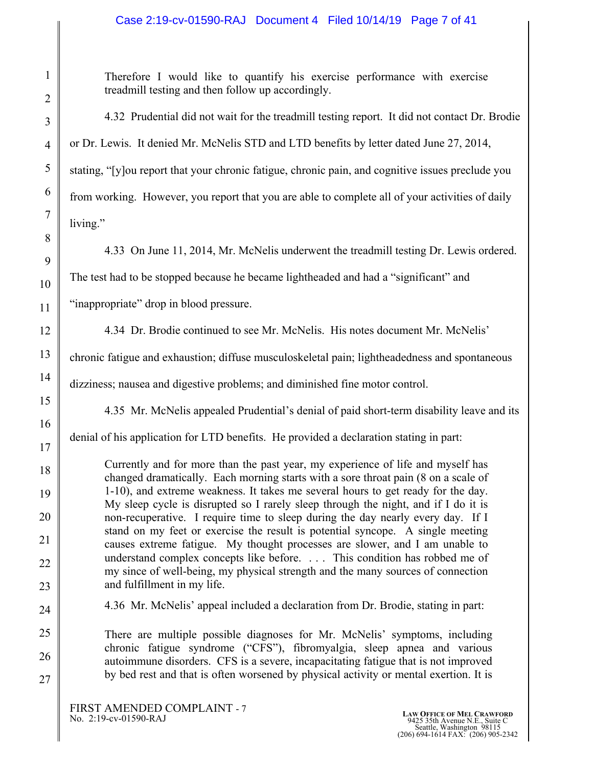# Case 2:19-cv-01590-RAJ Document 4 Filed 10/14/19 Page 7 of 41

Therefore I would like to quantify his exercise performance with exercise treadmill testing and then follow up accordingly.

4.32 Prudential did not wait for the treadmill testing report. It did not contact Dr. Brodie or Dr. Lewis. It denied Mr. McNelis STD and LTD benefits by letter dated June 27, 2014, stating, "[y]ou report that your chronic fatigue, chronic pain, and cognitive issues preclude you from working. However, you report that you are able to complete all of your activities of daily living."

4.33 On June 11, 2014, Mr. McNelis underwent the treadmill testing Dr. Lewis ordered.

The test had to be stopped because he became lightheaded and had a "significant" and

"inappropriate" drop in blood pressure.

4.34 Dr. Brodie continued to see Mr. McNelis. His notes document Mr. McNelis'

chronic fatigue and exhaustion; diffuse musculoskeletal pain; lightheadedness and spontaneous

dizziness; nausea and digestive problems; and diminished fine motor control.

4.35 Mr. McNelis appealed Prudential's denial of paid short-term disability leave and its

denial of his application for LTD benefits. He provided a declaration stating in part:

Currently and for more than the past year, my experience of life and myself has changed dramatically. Each morning starts with a sore throat pain (8 on a scale of 1-10), and extreme weakness. It takes me several hours to get ready for the day. My sleep cycle is disrupted so I rarely sleep through the night, and if I do it is non-recuperative. I require time to sleep during the day nearly every day. If I stand on my feet or exercise the result is potential syncope. A single meeting causes extreme fatigue. My thought processes are slower, and I am unable to understand complex concepts like before. . . . This condition has robbed me of my since of well-being, my physical strength and the many sources of connection and fulfillment in my life.

4.36 Mr. McNelis' appeal included a declaration from Dr. Brodie, stating in part:

There are multiple possible diagnoses for Mr. McNelis' symptoms, including chronic fatigue syndrome ("CFS"), fibromyalgia, sleep apnea and various autoimmune disorders. CFS is a severe, incapacitating fatigue that is not improved by bed rest and that is often worsened by physical activity or mental exertion. It is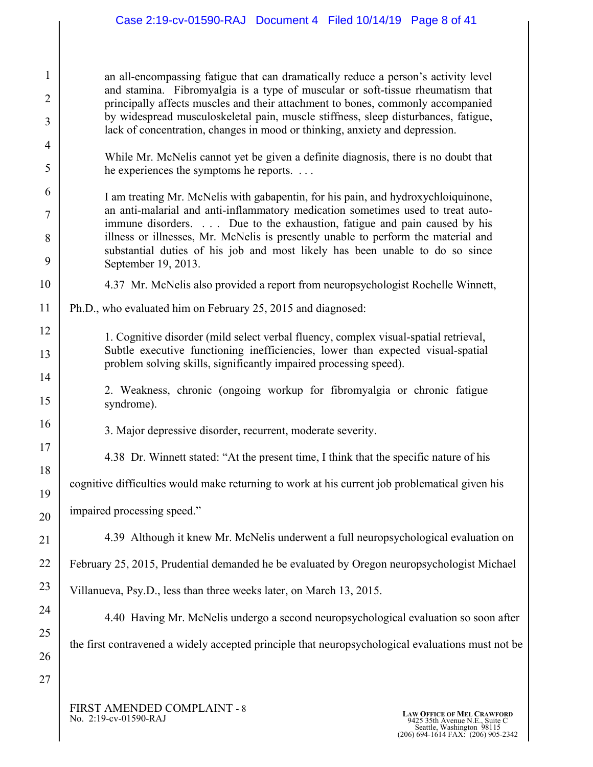# Case 2:19-cv-01590-RAJ Document 4 Filed 10/14/19 Page 8 of 41

an all-encompassing fatigue that can dramatically reduce a person's activity level and stamina. Fibromyalgia is a type of muscular or soft-tissue rheumatism that principally affects muscles and their attachment to bones, commonly accompanied by widespread musculoskeletal pain, muscle stiffness, sleep disturbances, fatigue, lack of concentration, changes in mood or thinking, anxiety and depression.

While Mr. McNelis cannot yet be given a definite diagnosis, there is no doubt that he experiences the symptoms he reports. . . .

I am treating Mr. McNelis with gabapentin, for his pain, and hydroxychloiquinone, an anti-malarial and anti-inflammatory medication sometimes used to treat autoimmune disorders. . . . Due to the exhaustion, fatigue and pain caused by his illness or illnesses, Mr. McNelis is presently unable to perform the material and substantial duties of his job and most likely has been unable to do so since September 19, 2013.

- 4.37 Mr. McNelis also provided a report from neuropsychologist Rochelle Winnett,
- 11 Ph.D., who evaluated him on February 25, 2015 and diagnosed:
	- 1. Cognitive disorder (mild select verbal fluency, complex visual-spatial retrieval, Subtle executive functioning inefficiencies, lower than expected visual-spatial problem solving skills, significantly impaired processing speed).
	- 2. Weakness, chronic (ongoing workup for fibromyalgia or chronic fatigue syndrome).
	- 3. Major depressive disorder, recurrent, moderate severity.
		- 4.38 Dr. Winnett stated: "At the present time, I think that the specific nature of his

cognitive difficulties would make returning to work at his current job problematical given his

impaired processing speed."

1

2

3

4

5

6

7

8

9

10

12

13

14

15

16

17

18

19

20

21

22

23

24

25

26

27

4.39 Although it knew Mr. McNelis underwent a full neuropsychological evaluation on

February 25, 2015, Prudential demanded he be evaluated by Oregon neuropsychologist Michael

Villanueva, Psy.D., less than three weeks later, on March 13, 2015.

4.40 Having Mr. McNelis undergo a second neuropsychological evaluation so soon after the first contravened a widely accepted principle that neuropsychological evaluations must not be

FIRST AMENDED COMPLAINT - 8<br>No. 2:19-cv-01590-RAJ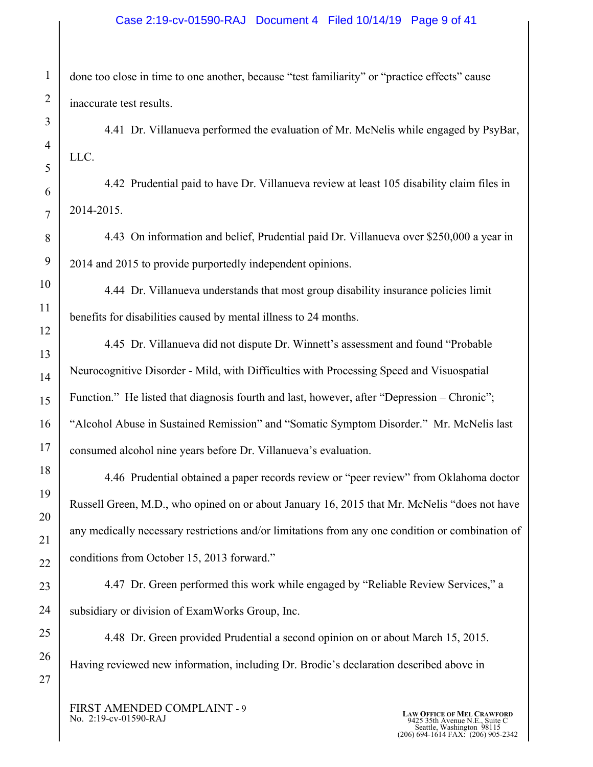#### Case 2:19-cv-01590-RAJ Document 4 Filed 10/14/19 Page 9 of 41

done too close in time to one another, because "test familiarity" or "practice effects" cause inaccurate test results.

4.41 Dr. Villanueva performed the evaluation of Mr. McNelis while engaged by PsyBar, LLC.

4.42 Prudential paid to have Dr. Villanueva review at least 105 disability claim files in 2014-2015.

4.43 On information and belief, Prudential paid Dr. Villanueva over \$250,000 a year in 2014 and 2015 to provide purportedly independent opinions.

4.44 Dr. Villanueva understands that most group disability insurance policies limit benefits for disabilities caused by mental illness to 24 months.

4.45 Dr. Villanueva did not dispute Dr. Winnett's assessment and found "Probable Neurocognitive Disorder - Mild, with Difficulties with Processing Speed and Visuospatial Function." He listed that diagnosis fourth and last, however, after "Depression – Chronic"; "Alcohol Abuse in Sustained Remission" and "Somatic Symptom Disorder." Mr. McNelis last consumed alcohol nine years before Dr. Villanueva's evaluation.

4.46 Prudential obtained a paper records review or "peer review" from Oklahoma doctor Russell Green, M.D., who opined on or about January 16, 2015 that Mr. McNelis "does not have any medically necessary restrictions and/or limitations from any one condition or combination of conditions from October 15, 2013 forward."

4.47 Dr. Green performed this work while engaged by "Reliable Review Services," a subsidiary or division of ExamWorks Group, Inc.

4.48 Dr. Green provided Prudential a second opinion on or about March 15, 2015. Having reviewed new information, including Dr. Brodie's declaration described above in

FIRST AMENDED COMPLAINT - 9<br>No. 2:19-cv-01590-RAJ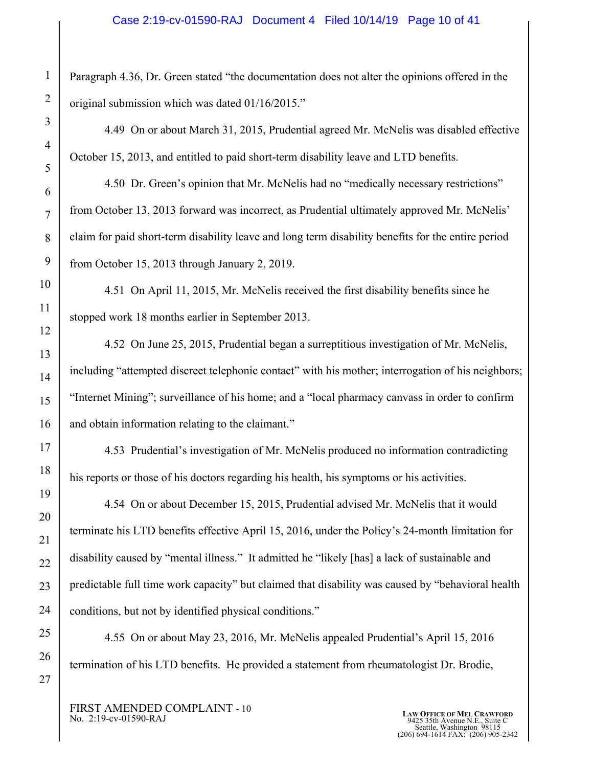Paragraph 4.36, Dr. Green stated "the documentation does not alter the opinions offered in the original submission which was dated 01/16/2015."

4.49 On or about March 31, 2015, Prudential agreed Mr. McNelis was disabled effective October 15, 2013, and entitled to paid short-term disability leave and LTD benefits.

4.50 Dr. Green's opinion that Mr. McNelis had no "medically necessary restrictions" from October 13, 2013 forward was incorrect, as Prudential ultimately approved Mr. McNelis' claim for paid short-term disability leave and long term disability benefits for the entire period from October 15, 2013 through January 2, 2019.

4.51 On April 11, 2015, Mr. McNelis received the first disability benefits since he stopped work 18 months earlier in September 2013.

4.52 On June 25, 2015, Prudential began a surreptitious investigation of Mr. McNelis, including "attempted discreet telephonic contact" with his mother; interrogation of his neighbors; "Internet Mining"; surveillance of his home; and a "local pharmacy canvass in order to confirm and obtain information relating to the claimant."

4.53 Prudential's investigation of Mr. McNelis produced no information contradicting his reports or those of his doctors regarding his health, his symptoms or his activities.

4.54 On or about December 15, 2015, Prudential advised Mr. McNelis that it would terminate his LTD benefits effective April 15, 2016, under the Policy's 24-month limitation for disability caused by "mental illness." It admitted he "likely [has] a lack of sustainable and predictable full time work capacity" but claimed that disability was caused by "behavioral health conditions, but not by identified physical conditions."

4.55 On or about May 23, 2016, Mr. McNelis appealed Prudential's April 15, 2016 termination of his LTD benefits. He provided a statement from rheumatologist Dr. Brodie,

FIRST AMENDED COMPLAINT - 10<br>No. 2:19-cv-01590-RAJ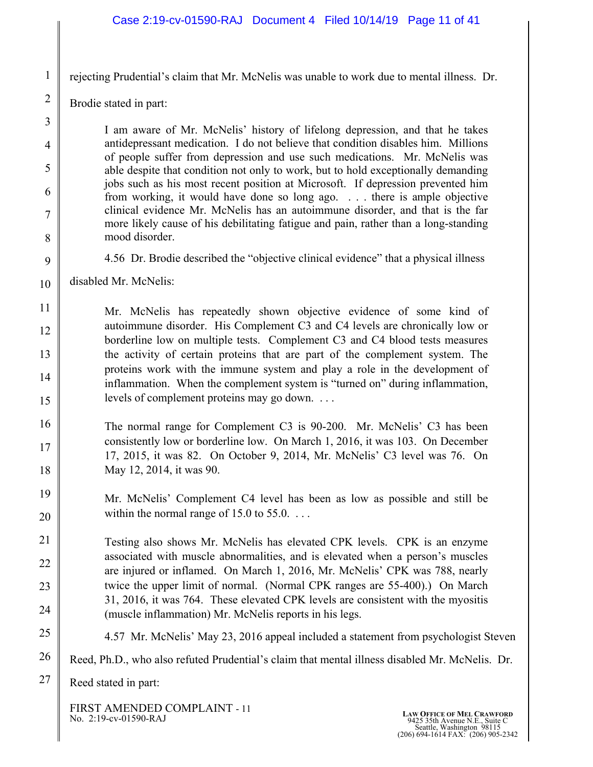#### Case 2:19-cv-01590-RAJ Document 4 Filed 10/14/19 Page 11 of 41

rejecting Prudential's claim that Mr. McNelis was unable to work due to mental illness. Dr.

Brodie stated in part:

1

2

3

4

5

6

7

8

9

I am aware of Mr. McNelis' history of lifelong depression, and that he takes antidepressant medication. I do not believe that condition disables him. Millions of people suffer from depression and use such medications. Mr. McNelis was able despite that condition not only to work, but to hold exceptionally demanding jobs such as his most recent position at Microsoft. If depression prevented him from working, it would have done so long ago. . . . there is ample objective clinical evidence Mr. McNelis has an autoimmune disorder, and that is the far more likely cause of his debilitating fatigue and pain, rather than a long-standing mood disorder.

- 4.56 Dr. Brodie described the "objective clinical evidence" that a physical illness
- 10 disabled Mr. McNelis:

11 12 13 14 15 Mr. McNelis has repeatedly shown objective evidence of some kind of autoimmune disorder. His Complement C3 and C4 levels are chronically low or borderline low on multiple tests. Complement C3 and C4 blood tests measures the activity of certain proteins that are part of the complement system. The proteins work with the immune system and play a role in the development of inflammation. When the complement system is "turned on" during inflammation, levels of complement proteins may go down. . . .

- 16 17 18 The normal range for Complement C3 is 90-200. Mr. McNelis' C3 has been consistently low or borderline low. On March 1, 2016, it was 103. On December 17, 2015, it was 82. On October 9, 2014, Mr. McNelis' C3 level was 76. On May 12, 2014, it was 90.
- 19 20 Mr. McNelis' Complement C4 level has been as low as possible and still be within the normal range of  $15.0$  to  $55.0$ ...

21 22 23 24 Testing also shows Mr. McNelis has elevated CPK levels. CPK is an enzyme associated with muscle abnormalities, and is elevated when a person's muscles are injured or inflamed. On March 1, 2016, Mr. McNelis' CPK was 788, nearly twice the upper limit of normal. (Normal CPK ranges are 55-400).) On March 31, 2016, it was 764. These elevated CPK levels are consistent with the myositis (muscle inflammation) Mr. McNelis reports in his legs.

- 25 4.57 Mr. McNelis' May 23, 2016 appeal included a statement from psychologist Steven
- 26 Reed, Ph.D., who also refuted Prudential's claim that mental illness disabled Mr. McNelis. Dr.

27 Reed stated in part:

FIRST AMENDED COMPLAINT - 11<br>No. 2:19-cv-01590-RAJ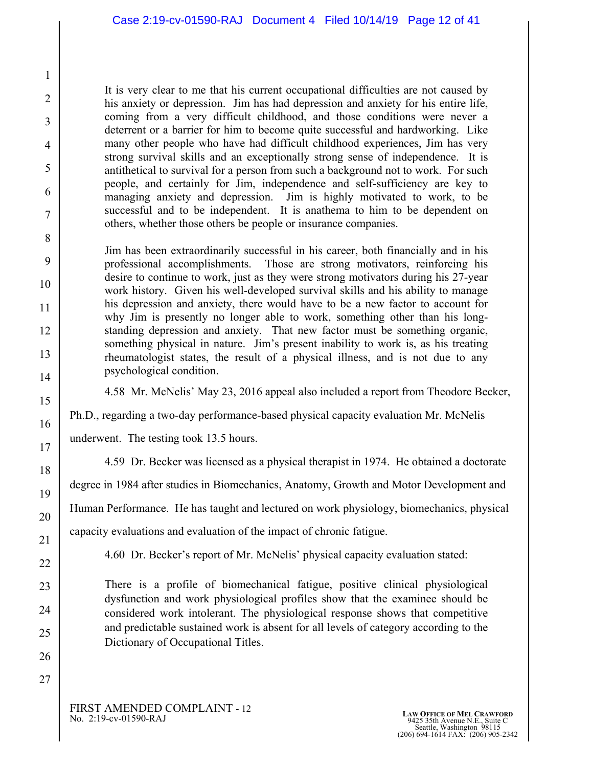It is very clear to me that his current occupational difficulties are not caused by his anxiety or depression. Jim has had depression and anxiety for his entire life, coming from a very difficult childhood, and those conditions were never a deterrent or a barrier for him to become quite successful and hardworking. Like many other people who have had difficult childhood experiences, Jim has very strong survival skills and an exceptionally strong sense of independence. It is antithetical to survival for a person from such a background not to work. For such people, and certainly for Jim, independence and self-sufficiency are key to managing anxiety and depression. Jim is highly motivated to work, to be successful and to be independent. It is anathema to him to be dependent on others, whether those others be people or insurance companies.

Jim has been extraordinarily successful in his career, both financially and in his professional accomplishments. Those are strong motivators, reinforcing his desire to continue to work, just as they were strong motivators during his 27-year work history. Given his well-developed survival skills and his ability to manage his depression and anxiety, there would have to be a new factor to account for why Jim is presently no longer able to work, something other than his longstanding depression and anxiety. That new factor must be something organic, something physical in nature. Jim's present inability to work is, as his treating rheumatologist states, the result of a physical illness, and is not due to any psychological condition.

4.58 Mr. McNelis' May 23, 2016 appeal also included a report from Theodore Becker,

Ph.D., regarding a two-day performance-based physical capacity evaluation Mr. McNelis

underwent. The testing took 13.5 hours.

4.59 Dr. Becker was licensed as a physical therapist in 1974. He obtained a doctorate

degree in 1984 after studies in Biomechanics, Anatomy, Growth and Motor Development and

Human Performance. He has taught and lectured on work physiology, biomechanics, physical

capacity evaluations and evaluation of the impact of chronic fatigue.

4.60 Dr. Becker's report of Mr. McNelis' physical capacity evaluation stated:

There is a profile of biomechanical fatigue, positive clinical physiological dysfunction and work physiological profiles show that the examinee should be considered work intolerant. The physiological response shows that competitive and predictable sustained work is absent for all levels of category according to the Dictionary of Occupational Titles.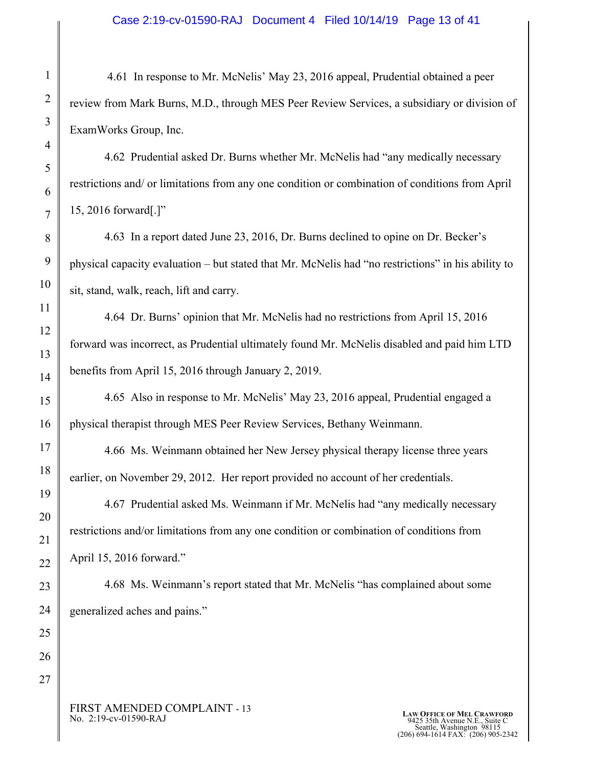4.61 In response to Mr. McNelis' May 23, 2016 appeal, Prudential obtained a peer review from Mark Burns, M.D., through MES Peer Review Services, a subsidiary or division of ExamWorks Group, Inc.

4.62 Prudential asked Dr. Burns whether Mr. McNelis had "any medically necessary restrictions and/ or limitations from any one condition or combination of conditions from April 15, 2016 forward[.]"

4.63 In a report dated June 23, 2016, Dr. Burns declined to opine on Dr. Becker's physical capacity evaluation – but stated that Mr. McNelis had "no restrictions" in his ability to sit, stand, walk, reach, lift and carry.

4.64 Dr. Burns' opinion that Mr. McNelis had no restrictions from April 15, 2016 forward was incorrect, as Prudential ultimately found Mr. McNelis disabled and paid him LTD benefits from April 15, 2016 through January 2, 2019.

 4.65 Also in response to Mr. McNelis' May 23, 2016 appeal, Prudential engaged a physical therapist through MES Peer Review Services, Bethany Weinmann.

 4.66 Ms. Weinmann obtained her New Jersey physical therapy license three years earlier, on November 29, 2012. Her report provided no account of her credentials.

 4.67 Prudential asked Ms. Weinmann if Mr. McNelis had "any medically necessary restrictions and/or limitations from any one condition or combination of conditions from April 15, 2016 forward."

 4.68 Ms. Weinmann's report stated that Mr. McNelis "has complained about some generalized aches and pains."

FIRST AMENDED COMPLAINT - 13<br>No. 2:19-cv-01590-RAJ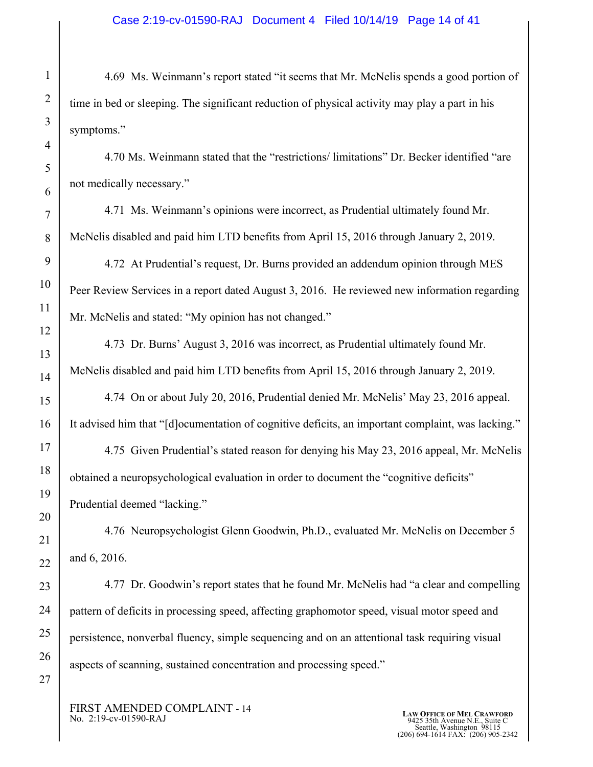4.69 Ms. Weinmann's report stated "it seems that Mr. McNelis spends a good portion of time in bed or sleeping. The significant reduction of physical activity may play a part in his symptoms."

 4.70 Ms. Weinmann stated that the "restrictions/ limitations" Dr. Becker identified "are not medically necessary."

4.71 Ms. Weinmann's opinions were incorrect, as Prudential ultimately found Mr. McNelis disabled and paid him LTD benefits from April 15, 2016 through January 2, 2019.

4.72 At Prudential's request, Dr. Burns provided an addendum opinion through MES Peer Review Services in a report dated August 3, 2016. He reviewed new information regarding Mr. McNelis and stated: "My opinion has not changed."

4.73 Dr. Burns' August 3, 2016 was incorrect, as Prudential ultimately found Mr. McNelis disabled and paid him LTD benefits from April 15, 2016 through January 2, 2019.

 4.74 On or about July 20, 2016, Prudential denied Mr. McNelis' May 23, 2016 appeal. It advised him that "[d]ocumentation of cognitive deficits, an important complaint, was lacking."

4.75 Given Prudential's stated reason for denying his May 23, 2016 appeal, Mr. McNelis obtained a neuropsychological evaluation in order to document the "cognitive deficits" Prudential deemed "lacking."

4.76 Neuropsychologist Glenn Goodwin, Ph.D., evaluated Mr. McNelis on December 5 and 6, 2016.

4.77 Dr. Goodwin's report states that he found Mr. McNelis had "a clear and compelling pattern of deficits in processing speed, affecting graphomotor speed, visual motor speed and persistence, nonverbal fluency, simple sequencing and on an attentional task requiring visual aspects of scanning, sustained concentration and processing speed."

FIRST AMENDED COMPLAINT - 14<br>No. 2:19-cv-01590-RAJ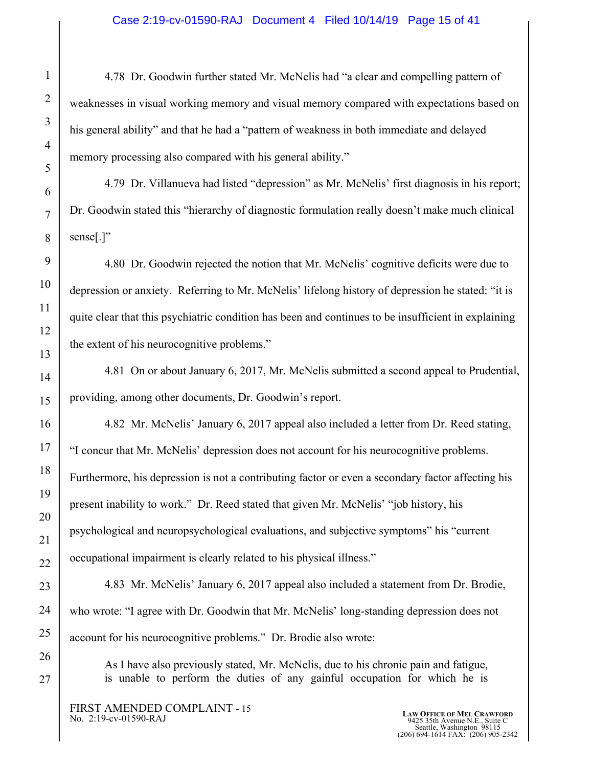#### Case 2:19-cv-01590-RAJ Document 4 Filed 10/14/19 Page 15 of 41

4.78 Dr. Goodwin further stated Mr. McNelis had "a clear and compelling pattern of weaknesses in visual working memory and visual memory compared with expectations based on his general ability" and that he had a "pattern of weakness in both immediate and delayed memory processing also compared with his general ability."

4.79 Dr. Villanueva had listed "depression" as Mr. McNelis' first diagnosis in his report; Dr. Goodwin stated this "hierarchy of diagnostic formulation really doesn't make much clinical sense[.]"

4.80 Dr. Goodwin rejected the notion that Mr. McNelis' cognitive deficits were due to depression or anxiety. Referring to Mr. McNelis' lifelong history of depression he stated: "it is quite clear that this psychiatric condition has been and continues to be insufficient in explaining the extent of his neurocognitive problems."

4.81 On or about January 6, 2017, Mr. McNelis submitted a second appeal to Prudential, providing, among other documents, Dr. Goodwin's report.

4.82 Mr. McNelis' January 6, 2017 appeal also included a letter from Dr. Reed stating, "I concur that Mr. McNelis' depression does not account for his neurocognitive problems. Furthermore, his depression is not a contributing factor or even a secondary factor affecting his present inability to work." Dr. Reed stated that given Mr. McNelis' "job history, his psychological and neuropsychological evaluations, and subjective symptoms" his "current occupational impairment is clearly related to his physical illness."

4.83 Mr. McNelis' January 6, 2017 appeal also included a statement from Dr. Brodie, who wrote: "I agree with Dr. Goodwin that Mr. McNelis' long-standing depression does not account for his neurocognitive problems." Dr. Brodie also wrote:

As I have also previously stated, Mr. McNelis, due to his chronic pain and fatigue, is unable to perform the duties of any gainful occupation for which he is

FIRST AMENDED COMPLAINT - 15<br>No. 2:19-cv-01590-RAJ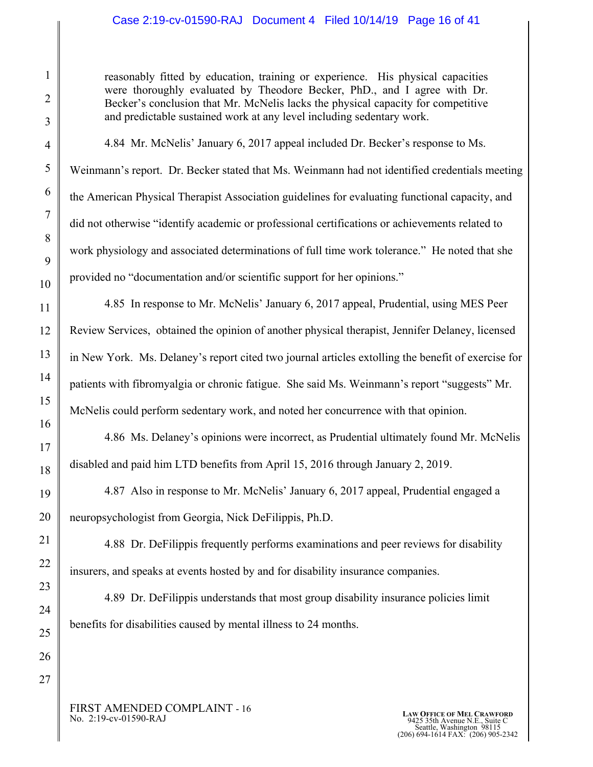# Case 2:19-cv-01590-RAJ Document 4 Filed 10/14/19 Page 16 of 41

reasonably fitted by education, training or experience. His physical capacities were thoroughly evaluated by Theodore Becker, PhD., and I agree with Dr. Becker's conclusion that Mr. McNelis lacks the physical capacity for competitive and predictable sustained work at any level including sedentary work.

4.84 Mr. McNelis' January 6, 2017 appeal included Dr. Becker's response to Ms. Weinmann's report. Dr. Becker stated that Ms. Weinmann had not identified credentials meeting the American Physical Therapist Association guidelines for evaluating functional capacity, and did not otherwise "identify academic or professional certifications or achievements related to work physiology and associated determinations of full time work tolerance." He noted that she provided no "documentation and/or scientific support for her opinions."

4.85 In response to Mr. McNelis' January 6, 2017 appeal, Prudential, using MES Peer Review Services, obtained the opinion of another physical therapist, Jennifer Delaney, licensed in New York. Ms. Delaney's report cited two journal articles extolling the benefit of exercise for patients with fibromyalgia or chronic fatigue. She said Ms. Weinmann's report "suggests" Mr. McNelis could perform sedentary work, and noted her concurrence with that opinion.

4.86 Ms. Delaney's opinions were incorrect, as Prudential ultimately found Mr. McNelis disabled and paid him LTD benefits from April 15, 2016 through January 2, 2019.

4.87 Also in response to Mr. McNelis' January 6, 2017 appeal, Prudential engaged a neuropsychologist from Georgia, Nick DeFilippis, Ph.D.

4.88 Dr. DeFilippis frequently performs examinations and peer reviews for disability insurers, and speaks at events hosted by and for disability insurance companies.

4.89 Dr. DeFilippis understands that most group disability insurance policies limit benefits for disabilities caused by mental illness to 24 months.

FIRST AMENDED COMPLAINT - 16<br>No. 2:19-cv-01590-RAJ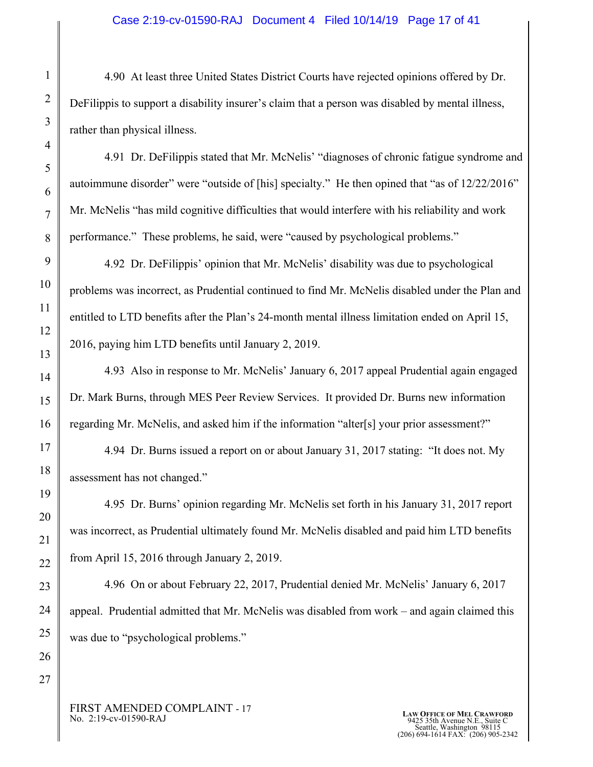#### Case 2:19-cv-01590-RAJ Document 4 Filed 10/14/19 Page 17 of 41

4.90 At least three United States District Courts have rejected opinions offered by Dr. DeFilippis to support a disability insurer's claim that a person was disabled by mental illness, rather than physical illness.

4.91 Dr. DeFilippis stated that Mr. McNelis' "diagnoses of chronic fatigue syndrome and autoimmune disorder" were "outside of [his] specialty." He then opined that "as of 12/22/2016" Mr. McNelis "has mild cognitive difficulties that would interfere with his reliability and work performance." These problems, he said, were "caused by psychological problems."

4.92 Dr. DeFilippis' opinion that Mr. McNelis' disability was due to psychological problems was incorrect, as Prudential continued to find Mr. McNelis disabled under the Plan and entitled to LTD benefits after the Plan's 24-month mental illness limitation ended on April 15, 2016, paying him LTD benefits until January 2, 2019.

4.93 Also in response to Mr. McNelis' January 6, 2017 appeal Prudential again engaged Dr. Mark Burns, through MES Peer Review Services. It provided Dr. Burns new information regarding Mr. McNelis, and asked him if the information "alter[s] your prior assessment?"

4.94 Dr. Burns issued a report on or about January 31, 2017 stating: "It does not. My assessment has not changed."

4.95 Dr. Burns' opinion regarding Mr. McNelis set forth in his January 31, 2017 report was incorrect, as Prudential ultimately found Mr. McNelis disabled and paid him LTD benefits from April 15, 2016 through January 2, 2019.

4.96 On or about February 22, 2017, Prudential denied Mr. McNelis' January 6, 2017 appeal. Prudential admitted that Mr. McNelis was disabled from work – and again claimed this was due to "psychological problems."

FIRST AMENDED COMPLAINT - 17<br>No. 2:19-cv-01590-RAJ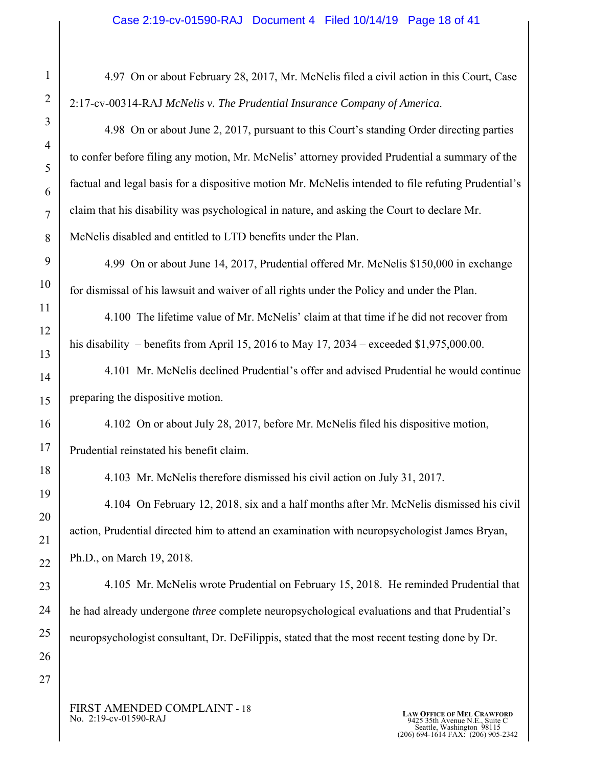#### Case 2:19-cv-01590-RAJ Document 4 Filed 10/14/19 Page 18 of 41

4.97 On or about February 28, 2017, Mr. McNelis filed a civil action in this Court, Case 2:17-cv-00314-RAJ *McNelis v. The Prudential Insurance Company of America*.

4.98 On or about June 2, 2017, pursuant to this Court's standing Order directing parties to confer before filing any motion, Mr. McNelis' attorney provided Prudential a summary of the factual and legal basis for a dispositive motion Mr. McNelis intended to file refuting Prudential's claim that his disability was psychological in nature, and asking the Court to declare Mr. McNelis disabled and entitled to LTD benefits under the Plan.

4.99 On or about June 14, 2017, Prudential offered Mr. McNelis \$150,000 in exchange for dismissal of his lawsuit and waiver of all rights under the Policy and under the Plan.

4.100 The lifetime value of Mr. McNelis' claim at that time if he did not recover from his disability – benefits from April 15, 2016 to May 17, 2034 – exceeded \$1,975,000.00.

4.101 Mr. McNelis declined Prudential's offer and advised Prudential he would continue preparing the dispositive motion.

4.102 On or about July 28, 2017, before Mr. McNelis filed his dispositive motion, Prudential reinstated his benefit claim.

4.103 Mr. McNelis therefore dismissed his civil action on July 31, 2017.

4.104 On February 12, 2018, six and a half months after Mr. McNelis dismissed his civil action, Prudential directed him to attend an examination with neuropsychologist James Bryan, Ph.D., on March 19, 2018.

4.105 Mr. McNelis wrote Prudential on February 15, 2018. He reminded Prudential that he had already undergone *three* complete neuropsychological evaluations and that Prudential's neuropsychologist consultant, Dr. DeFilippis, stated that the most recent testing done by Dr.

FIRST AMENDED COMPLAINT - 18<br>No. 2:19-cv-01590-RAJ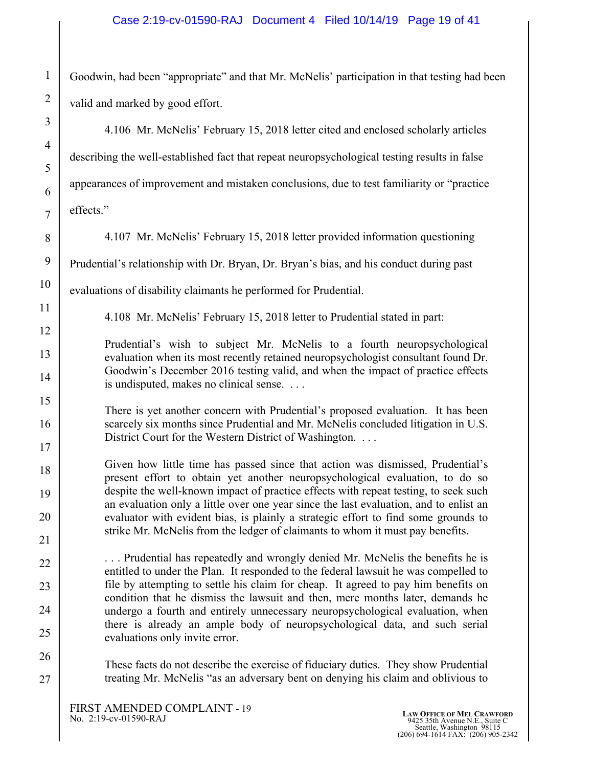# Case 2:19-cv-01590-RAJ Document 4 Filed 10/14/19 Page 19 of 41

Goodwin, had been "appropriate" and that Mr. McNelis' participation in that testing had been valid and marked by good effort.

| $\mathfrak{I}$   | 4.106 Mr. McNelis' February 15, 2018 letter cited and enclosed scholarly articles                                                                                                                                              |
|------------------|--------------------------------------------------------------------------------------------------------------------------------------------------------------------------------------------------------------------------------|
| $\overline{4}$   | describing the well-established fact that repeat neuropsychological testing results in false                                                                                                                                   |
| 5<br>6           | appearances of improvement and mistaken conclusions, due to test familiarity or "practice                                                                                                                                      |
| $\overline{7}$   | effects."                                                                                                                                                                                                                      |
| 8                | 4.107 Mr. McNelis' February 15, 2018 letter provided information questioning                                                                                                                                                   |
| $\boldsymbol{9}$ | Prudential's relationship with Dr. Bryan, Dr. Bryan's bias, and his conduct during past                                                                                                                                        |
| 10               | evaluations of disability claimants he performed for Prudential.                                                                                                                                                               |
| 11               | 4.108 Mr. McNelis' February 15, 2018 letter to Prudential stated in part:                                                                                                                                                      |
| 12<br>13         | Prudential's wish to subject Mr. McNelis to a fourth neuropsychological                                                                                                                                                        |
| 14               | evaluation when its most recently retained neuropsychologist consultant found Dr.<br>Goodwin's December 2016 testing valid, and when the impact of practice effects<br>is undisputed, makes no clinical sense.                 |
| 15               |                                                                                                                                                                                                                                |
| 16               | There is yet another concern with Prudential's proposed evaluation. It has been<br>scarcely six months since Prudential and Mr. McNelis concluded litigation in U.S.<br>District Court for the Western District of Washington. |
| 17               |                                                                                                                                                                                                                                |
| 18               | Given how little time has passed since that action was dismissed, Prudential's<br>present effort to obtain yet another neuropsychological evaluation, to do so                                                                 |
| 19               | despite the well-known impact of practice effects with repeat testing, to seek such<br>an evaluation only a little over one year since the last evaluation, and to enlist an                                                   |
| 20               | evaluator with evident bias, is plainly a strategic effort to find some grounds to                                                                                                                                             |
| 21               | strike Mr. McNelis from the ledger of claimants to whom it must pay benefits.                                                                                                                                                  |
| 22               | Prudential has repeatedly and wrongly denied Mr. McNelis the benefits he is<br>entitled to under the Plan. It responded to the federal lawsuit he was compelled to                                                             |
| 23               | file by attempting to settle his claim for cheap. It agreed to pay him benefits on<br>condition that he dismiss the lawsuit and then, mere months later, demands he                                                            |
| 24               | undergo a fourth and entirely unnecessary neuropsychological evaluation, when                                                                                                                                                  |
| 25               | there is already an ample body of neuropsychological data, and such serial<br>evaluations only invite error.                                                                                                                   |
| 26               | These facts do not describe the exercise of fiduciary duties. They show Prudential                                                                                                                                             |
| 27               | treating Mr. McNelis "as an adversary bent on denying his claim and oblivious to                                                                                                                                               |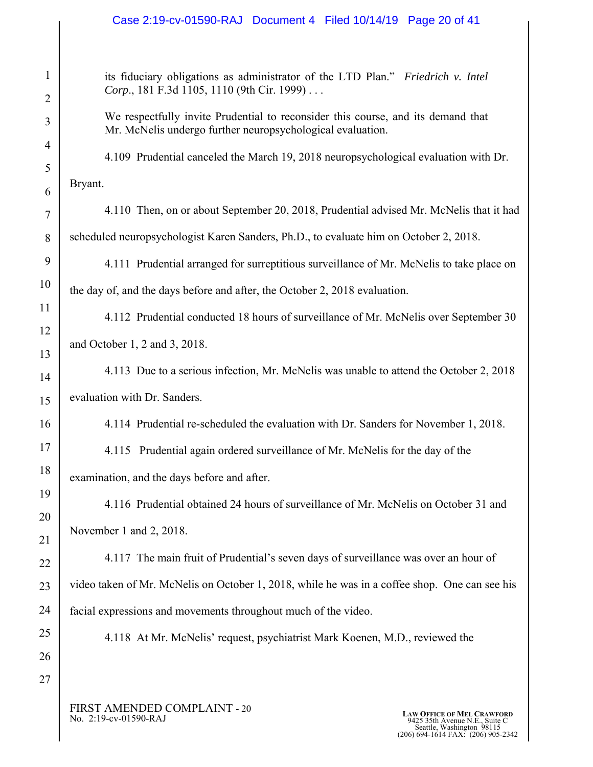### Case 2:19-cv-01590-RAJ Document 4 Filed 10/14/19 Page 20 of 41

its fiduciary obligations as administrator of the LTD Plan." *Friedrich v. Intel Corp*., 181 F.3d 1105, 1110 (9th Cir. 1999) . . .

We respectfully invite Prudential to reconsider this course, and its demand that Mr. McNelis undergo further neuropsychological evaluation.

4.109 Prudential canceled the March 19, 2018 neuropsychological evaluation with Dr. Bryant.

4.110 Then, on or about September 20, 2018, Prudential advised Mr. McNelis that it had scheduled neuropsychologist Karen Sanders, Ph.D., to evaluate him on October 2, 2018.

4.111 Prudential arranged for surreptitious surveillance of Mr. McNelis to take place on the day of, and the days before and after, the October 2, 2018 evaluation.

4.112 Prudential conducted 18 hours of surveillance of Mr. McNelis over September 30 and October 1, 2 and 3, 2018.

4.113 Due to a serious infection, Mr. McNelis was unable to attend the October 2, 2018 evaluation with Dr. Sanders.

4.114 Prudential re-scheduled the evaluation with Dr. Sanders for November 1, 2018.

4.115 Prudential again ordered surveillance of Mr. McNelis for the day of the examination, and the days before and after.

4.116 Prudential obtained 24 hours of surveillance of Mr. McNelis on October 31 and November 1 and 2, 2018.

4.117 The main fruit of Prudential's seven days of surveillance was over an hour of video taken of Mr. McNelis on October 1, 2018, while he was in a coffee shop. One can see his facial expressions and movements throughout much of the video.

4.118 At Mr. McNelis' request, psychiatrist Mark Koenen, M.D., reviewed the

FIRST AMENDED COMPLAINT - 20<br>No. 2:19-cv-01590-RAJ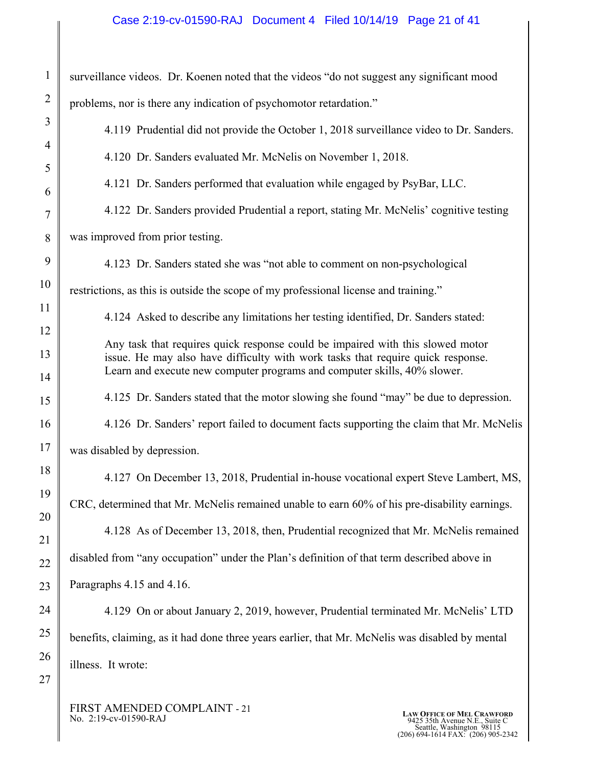# Case 2:19-cv-01590-RAJ Document 4 Filed 10/14/19 Page 21 of 41

| $\mathbf{1}$   | surveillance videos. Dr. Koenen noted that the videos "do not suggest any significant mood                                                                  |
|----------------|-------------------------------------------------------------------------------------------------------------------------------------------------------------|
| $\overline{2}$ | problems, nor is there any indication of psychomotor retardation."                                                                                          |
| 3              | 4.119 Prudential did not provide the October 1, 2018 surveillance video to Dr. Sanders.                                                                     |
| 4              | 4.120 Dr. Sanders evaluated Mr. McNelis on November 1, 2018.                                                                                                |
| 5<br>6         | 4.121 Dr. Sanders performed that evaluation while engaged by PsyBar, LLC.                                                                                   |
| $\overline{7}$ | 4.122 Dr. Sanders provided Prudential a report, stating Mr. McNelis' cognitive testing                                                                      |
| 8              | was improved from prior testing.                                                                                                                            |
| 9              | 4.123 Dr. Sanders stated she was "not able to comment on non-psychological                                                                                  |
| 10             | restrictions, as this is outside the scope of my professional license and training."                                                                        |
| 11             | 4.124 Asked to describe any limitations her testing identified, Dr. Sanders stated:                                                                         |
| 12             | Any task that requires quick response could be impaired with this slowed motor                                                                              |
| 13<br>14       | issue. He may also have difficulty with work tasks that require quick response.<br>Learn and execute new computer programs and computer skills, 40% slower. |
| 15             | 4.125 Dr. Sanders stated that the motor slowing she found "may" be due to depression.                                                                       |
| 16             | 4.126 Dr. Sanders' report failed to document facts supporting the claim that Mr. McNelis                                                                    |
| 17             | was disabled by depression.                                                                                                                                 |
| 18             | 4.127 On December 13, 2018, Prudential in-house vocational expert Steve Lambert, MS,                                                                        |
| 19             | CRC, determined that Mr. McNelis remained unable to earn 60% of his pre-disability earnings.                                                                |
| 20             | 4.128 As of December 13, 2018, then, Prudential recognized that Mr. McNelis remained                                                                        |
| 21<br>22       | disabled from "any occupation" under the Plan's definition of that term described above in                                                                  |
| 23             | Paragraphs 4.15 and 4.16.                                                                                                                                   |
| 24             | 4.129 On or about January 2, 2019, however, Prudential terminated Mr. McNelis' LTD                                                                          |
| 25             | benefits, claiming, as it had done three years earlier, that Mr. McNelis was disabled by mental                                                             |
| 26             | illness. It wrote:                                                                                                                                          |
| 27             |                                                                                                                                                             |

FIRST AMENDED COMPLAINT - 21 No. 2:19-cv-01590-RAJ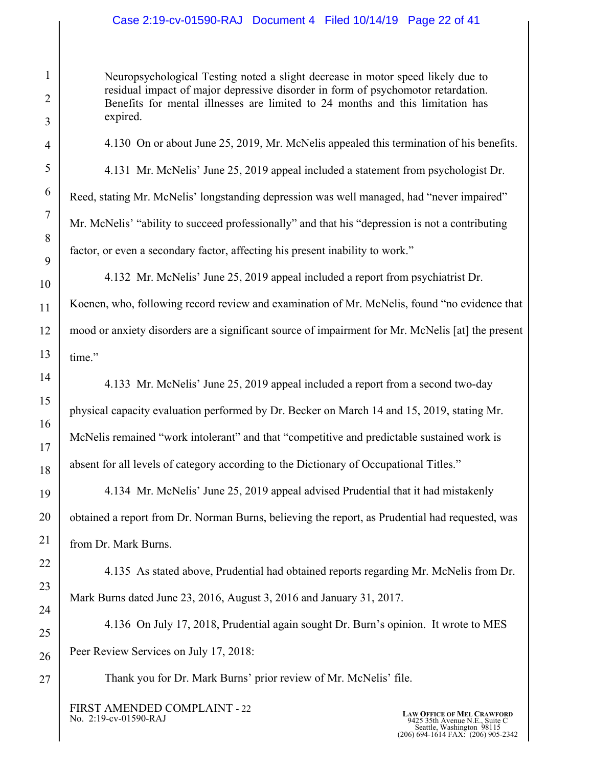# Case 2:19-cv-01590-RAJ Document 4 Filed 10/14/19 Page 22 of 41

Neuropsychological Testing noted a slight decrease in motor speed likely due to residual impact of major depressive disorder in form of psychomotor retardation. Benefits for mental illnesses are limited to 24 months and this limitation has expired.

4.130 On or about June 25, 2019, Mr. McNelis appealed this termination of his benefits.

4.131 Mr. McNelis' June 25, 2019 appeal included a statement from psychologist Dr. Reed, stating Mr. McNelis' longstanding depression was well managed, had "never impaired" Mr. McNelis' "ability to succeed professionally" and that his "depression is not a contributing factor, or even a secondary factor, affecting his present inability to work."

4.132 Mr. McNelis' June 25, 2019 appeal included a report from psychiatrist Dr. Koenen, who, following record review and examination of Mr. McNelis, found "no evidence that mood or anxiety disorders are a significant source of impairment for Mr. McNelis [at] the present time."

4.133 Mr. McNelis' June 25, 2019 appeal included a report from a second two-day physical capacity evaluation performed by Dr. Becker on March 14 and 15, 2019, stating Mr. McNelis remained "work intolerant" and that "competitive and predictable sustained work is absent for all levels of category according to the Dictionary of Occupational Titles."

4.134 Mr. McNelis' June 25, 2019 appeal advised Prudential that it had mistakenly obtained a report from Dr. Norman Burns, believing the report, as Prudential had requested, was from Dr. Mark Burns.

4.135 As stated above, Prudential had obtained reports regarding Mr. McNelis from Dr. Mark Burns dated June 23, 2016, August 3, 2016 and January 31, 2017.

4.136 On July 17, 2018, Prudential again sought Dr. Burn's opinion. It wrote to MES Peer Review Services on July 17, 2018:

Thank you for Dr. Mark Burns' prior review of Mr. McNelis' file.

FIRST AMENDED COMPLAINT - 22<br>No. 2:19-cv-01590-RAJ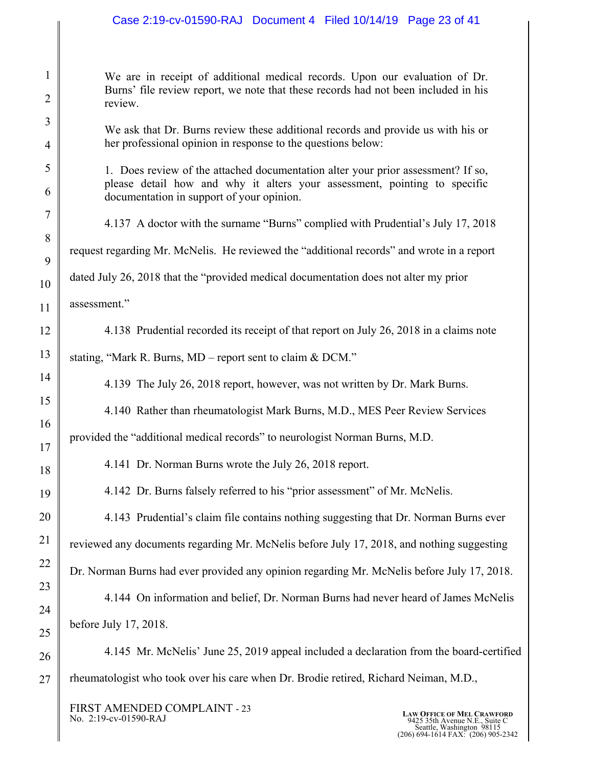# Case 2:19-cv-01590-RAJ Document 4 Filed 10/14/19 Page 23 of 41

| We are in receipt of additional medical records. Upon our evaluation of Dr.        |
|------------------------------------------------------------------------------------|
| Burns' file review report, we note that these records had not been included in his |
| review.                                                                            |

We ask that Dr. Burns review these additional records and provide us with his or her professional opinion in response to the questions below:

- 1. Does review of the attached documentation alter your prior assessment? If so, please detail how and why it alters your assessment, pointing to specific documentation in support of your opinion.
- 4.137 A doctor with the surname "Burns" complied with Prudential's July 17, 2018 request regarding Mr. McNelis. He reviewed the "additional records" and wrote in a report dated July 26, 2018 that the "provided medical documentation does not alter my prior

assessment."

1

2

3

4

5

6

7

8

9

10

11

12

13

14

15

16

17

18

19

20

21

22

23

24

25

4.138 Prudential recorded its receipt of that report on July 26, 2018 in a claims note

stating, "Mark R. Burns, MD – report sent to claim & DCM."

4.139 The July 26, 2018 report, however, was not written by Dr. Mark Burns.

4.140 Rather than rheumatologist Mark Burns, M.D., MES Peer Review Services

provided the "additional medical records" to neurologist Norman Burns, M.D.

4.141 Dr. Norman Burns wrote the July 26, 2018 report.

4.142 Dr. Burns falsely referred to his "prior assessment" of Mr. McNelis.

# 4.143 Prudential's claim file contains nothing suggesting that Dr. Norman Burns ever

reviewed any documents regarding Mr. McNelis before July 17, 2018, and nothing suggesting

Dr. Norman Burns had ever provided any opinion regarding Mr. McNelis before July 17, 2018.

4.144 On information and belief, Dr. Norman Burns had never heard of James McNelis before July 17, 2018.

26 27 4.145 Mr. McNelis' June 25, 2019 appeal included a declaration from the board-certified rheumatologist who took over his care when Dr. Brodie retired, Richard Neiman, M.D.,

FIRST AMENDED COMPLAINT - 23<br>No. 2:19-cv-01590-RAJ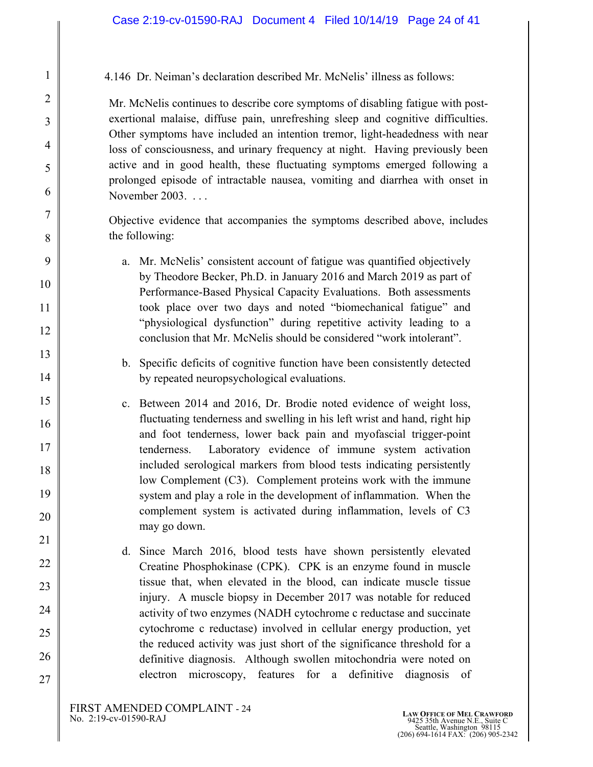4.146 Dr. Neiman's declaration described Mr. McNelis' illness as follows:

Mr. McNelis continues to describe core symptoms of disabling fatigue with postexertional malaise, diffuse pain, unrefreshing sleep and cognitive difficulties. Other symptoms have included an intention tremor, light-headedness with near loss of consciousness, and urinary frequency at night. Having previously been active and in good health, these fluctuating symptoms emerged following a prolonged episode of intractable nausea, vomiting and diarrhea with onset in November 2003. . . .

Objective evidence that accompanies the symptoms described above, includes the following:

- a. Mr. McNelis' consistent account of fatigue was quantified objectively by Theodore Becker, Ph.D. in January 2016 and March 2019 as part of Performance-Based Physical Capacity Evaluations. Both assessments took place over two days and noted "biomechanical fatigue" and "physiological dysfunction" during repetitive activity leading to a conclusion that Mr. McNelis should be considered "work intolerant".
- b. Specific deficits of cognitive function have been consistently detected by repeated neuropsychological evaluations.
- c. Between 2014 and 2016, Dr. Brodie noted evidence of weight loss, fluctuating tenderness and swelling in his left wrist and hand, right hip and foot tenderness, lower back pain and myofascial trigger-point tenderness. Laboratory evidence of immune system activation included serological markers from blood tests indicating persistently low Complement (C3). Complement proteins work with the immune system and play a role in the development of inflammation. When the complement system is activated during inflammation, levels of C3 may go down.
- d. Since March 2016, blood tests have shown persistently elevated Creatine Phosphokinase (CPK). CPK is an enzyme found in muscle tissue that, when elevated in the blood, can indicate muscle tissue injury. A muscle biopsy in December 2017 was notable for reduced activity of two enzymes (NADH cytochrome c reductase and succinate cytochrome c reductase) involved in cellular energy production, yet the reduced activity was just short of the significance threshold for a definitive diagnosis. Although swollen mitochondria were noted on electron microscopy, features for a definitive diagnosis of

26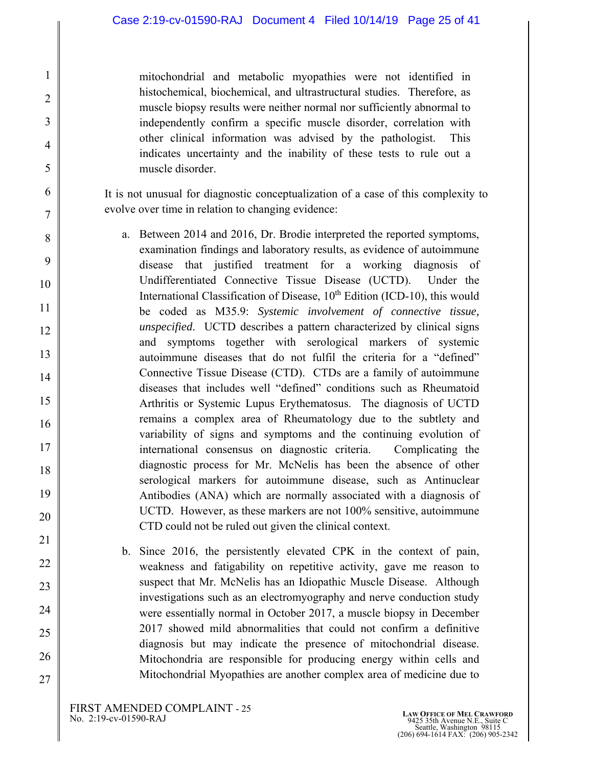mitochondrial and metabolic myopathies were not identified in histochemical, biochemical, and ultrastructural studies. Therefore, as muscle biopsy results were neither normal nor sufficiently abnormal to independently confirm a specific muscle disorder, correlation with other clinical information was advised by the pathologist. This indicates uncertainty and the inability of these tests to rule out a muscle disorder.

It is not unusual for diagnostic conceptualization of a case of this complexity to evolve over time in relation to changing evidence:

- a. Between 2014 and 2016, Dr. Brodie interpreted the reported symptoms, examination findings and laboratory results, as evidence of autoimmune disease that justified treatment for a working diagnosis of Undifferentiated Connective Tissue Disease (UCTD). Under the International Classification of Disease,  $10<sup>th</sup>$  Edition (ICD-10), this would be coded as M35.9: *Systemic involvement of connective tissue, unspecified*. UCTD describes a pattern characterized by clinical signs and symptoms together with serological markers of systemic autoimmune diseases that do not fulfil the criteria for a "defined" Connective Tissue Disease (CTD). CTDs are a family of autoimmune diseases that includes well "defined" conditions such as Rheumatoid Arthritis or Systemic Lupus Erythematosus. The diagnosis of UCTD remains a complex area of Rheumatology due to the subtlety and variability of signs and symptoms and the continuing evolution of international consensus on diagnostic criteria. Complicating the diagnostic process for Mr. McNelis has been the absence of other serological markers for autoimmune disease, such as Antinuclear Antibodies (ANA) which are normally associated with a diagnosis of UCTD. However, as these markers are not 100% sensitive, autoimmune CTD could not be ruled out given the clinical context.
- b. Since 2016, the persistently elevated CPK in the context of pain, weakness and fatigability on repetitive activity, gave me reason to suspect that Mr. McNelis has an Idiopathic Muscle Disease. Although investigations such as an electromyography and nerve conduction study were essentially normal in October 2017, a muscle biopsy in December 2017 showed mild abnormalities that could not confirm a definitive diagnosis but may indicate the presence of mitochondrial disease. Mitochondria are responsible for producing energy within cells and Mitochondrial Myopathies are another complex area of medicine due to

24

25

26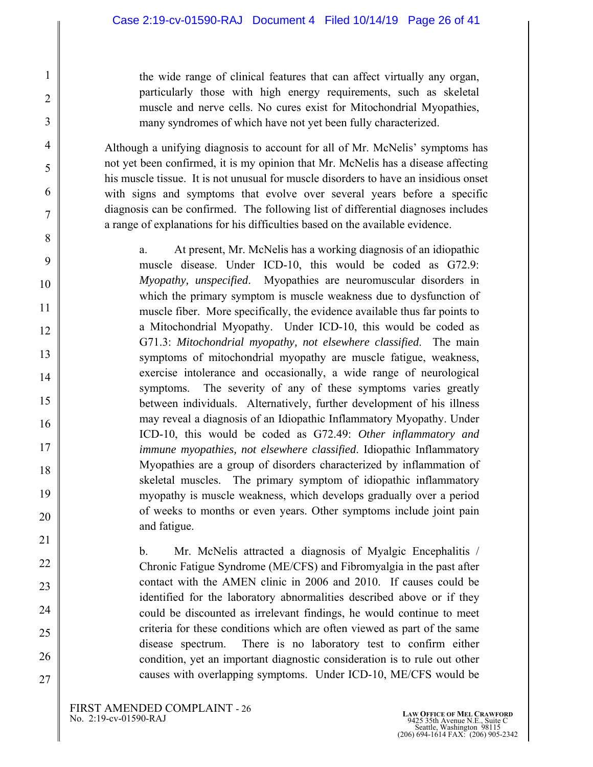the wide range of clinical features that can affect virtually any organ, particularly those with high energy requirements, such as skeletal muscle and nerve cells. No cures exist for Mitochondrial Myopathies, many syndromes of which have not yet been fully characterized.

Although a unifying diagnosis to account for all of Mr. McNelis' symptoms has not yet been confirmed, it is my opinion that Mr. McNelis has a disease affecting his muscle tissue. It is not unusual for muscle disorders to have an insidious onset with signs and symptoms that evolve over several years before a specific diagnosis can be confirmed. The following list of differential diagnoses includes a range of explanations for his difficulties based on the available evidence.

a. At present, Mr. McNelis has a working diagnosis of an idiopathic muscle disease. Under ICD-10, this would be coded as G72.9: *Myopathy, unspecified*. Myopathies are neuromuscular disorders in which the primary symptom is muscle weakness due to dysfunction of muscle fiber. More specifically, the evidence available thus far points to a Mitochondrial Myopathy. Under ICD-10, this would be coded as G71.3: *Mitochondrial myopathy, not elsewhere classified*. The main symptoms of mitochondrial myopathy are muscle fatigue, weakness, exercise intolerance and occasionally, a wide range of neurological symptoms. The severity of any of these symptoms varies greatly between individuals. Alternatively, further development of his illness may reveal a diagnosis of an Idiopathic Inflammatory Myopathy. Under ICD-10, this would be coded as G72.49: *Other inflammatory and immune myopathies, not elsewhere classified*. Idiopathic Inflammatory Myopathies are a group of disorders characterized by inflammation of skeletal muscles. The primary symptom of idiopathic inflammatory myopathy is muscle weakness, which develops gradually over a period of weeks to months or even years. Other symptoms include joint pain and fatigue.

b. Mr. McNelis attracted a diagnosis of Myalgic Encephalitis / Chronic Fatigue Syndrome (ME/CFS) and Fibromyalgia in the past after contact with the AMEN clinic in 2006 and 2010. If causes could be identified for the laboratory abnormalities described above or if they could be discounted as irrelevant findings, he would continue to meet criteria for these conditions which are often viewed as part of the same disease spectrum. There is no laboratory test to confirm either condition, yet an important diagnostic consideration is to rule out other causes with overlapping symptoms. Under ICD-10, ME/CFS would be

23

24

25

26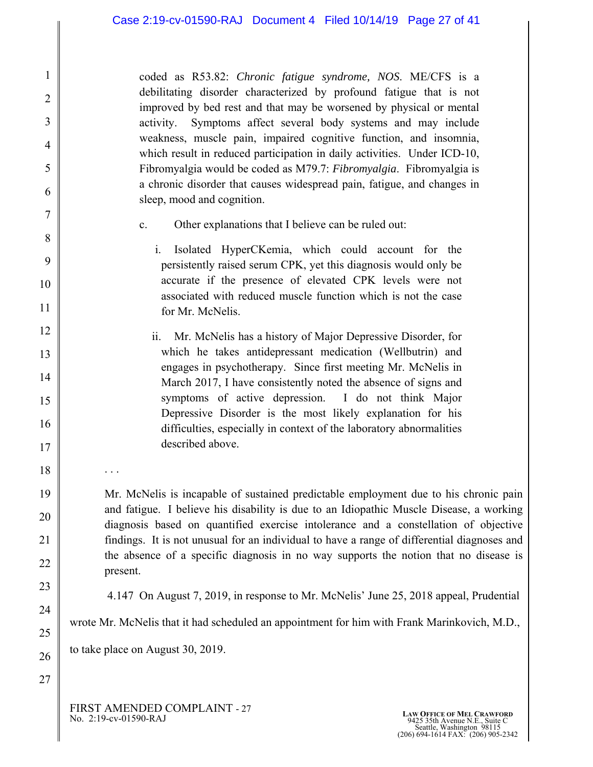coded as R53.82: *Chronic fatigue syndrome, NOS*. ME/CFS is a debilitating disorder characterized by profound fatigue that is not improved by bed rest and that may be worsened by physical or mental activity. Symptoms affect several body systems and may include weakness, muscle pain, impaired cognitive function, and insomnia, which result in reduced participation in daily activities. Under ICD-10, Fibromyalgia would be coded as M79.7: *Fibromyalgia*. Fibromyalgia is a chronic disorder that causes widespread pain, fatigue, and changes in sleep, mood and cognition.

- c. Other explanations that I believe can be ruled out:
	- i. Isolated HyperCKemia, which could account for the persistently raised serum CPK, yet this diagnosis would only be accurate if the presence of elevated CPK levels were not associated with reduced muscle function which is not the case for Mr. McNelis.
- ii. Mr. McNelis has a history of Major Depressive Disorder, for which he takes antidepressant medication (Wellbutrin) and engages in psychotherapy. Since first meeting Mr. McNelis in March 2017, I have consistently noted the absence of signs and symptoms of active depression. I do not think Major Depressive Disorder is the most likely explanation for his difficulties, especially in context of the laboratory abnormalities described above.

Mr. McNelis is incapable of sustained predictable employment due to his chronic pain and fatigue. I believe his disability is due to an Idiopathic Muscle Disease, a working diagnosis based on quantified exercise intolerance and a constellation of objective findings. It is not unusual for an individual to have a range of differential diagnoses and the absence of a specific diagnosis in no way supports the notion that no disease is present.

4.147 On August 7, 2019, in response to Mr. McNelis' June 25, 2018 appeal, Prudential

wrote Mr. McNelis that it had scheduled an appointment for him with Frank Marinkovich, M.D.,

to take place on August 30, 2019.

. . .

FIRST AMENDED COMPLAINT - 27<br>No. 2:19-cv-01590-RAJ

1

2

3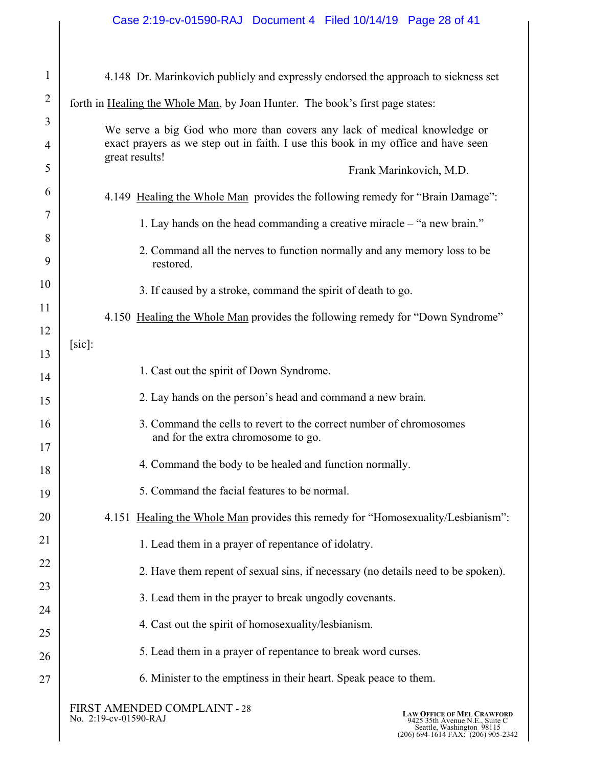| $\mathbf{1}$   | 4.148 Dr. Marinkovich publicly and expressly endorsed the approach to sickness set                                         |
|----------------|----------------------------------------------------------------------------------------------------------------------------|
| $\overline{2}$ | forth in Healing the Whole Man, by Joan Hunter. The book's first page states:                                              |
| 3              | We serve a big God who more than covers any lack of medical knowledge or                                                   |
| 4              | exact prayers as we step out in faith. I use this book in my office and have seen<br>great results!                        |
| 5              | Frank Marinkovich, M.D.                                                                                                    |
| 6              | 4.149 Healing the Whole Man provides the following remedy for "Brain Damage":                                              |
| 7              | 1. Lay hands on the head commanding a creative miracle – "a new brain."                                                    |
| 8<br>9         | 2. Command all the nerves to function normally and any memory loss to be<br>restored.                                      |
| 10             | 3. If caused by a stroke, command the spirit of death to go.                                                               |
| 11             | 4.150 Healing the Whole Man provides the following remedy for "Down Syndrome"                                              |
| 12             | $[sic]$ :                                                                                                                  |
| 13<br>14       | 1. Cast out the spirit of Down Syndrome.                                                                                   |
| 15             | 2. Lay hands on the person's head and command a new brain.                                                                 |
| 16<br>17       | 3. Command the cells to revert to the correct number of chromosomes<br>and for the extra chromosome to go.                 |
| 18             | 4. Command the body to be healed and function normally.                                                                    |
| 19             | 5. Command the facial features to be normal.                                                                               |
| 20             | 4.151 Healing the Whole Man provides this remedy for "Homosexuality/Lesbianism":                                           |
| 21             | 1. Lead them in a prayer of repentance of idolatry.                                                                        |
| 22             | 2. Have them repent of sexual sins, if necessary (no details need to be spoken).                                           |
| 23             | 3. Lead them in the prayer to break ungodly covenants.                                                                     |
| 24             | 4. Cast out the spirit of homosexuality/lesbianism.                                                                        |
| 25             | 5. Lead them in a prayer of repentance to break word curses.                                                               |
| 26<br>27       | 6. Minister to the emptiness in their heart. Speak peace to them.                                                          |
|                | FIRST AMENDED COMPLAINT - 28<br><b>LAW OFFICE OF MEL CRAWFORD</b><br>No. 2:19-cv-01590-RAJ<br>0425 35th Avenue N.E Suite ( |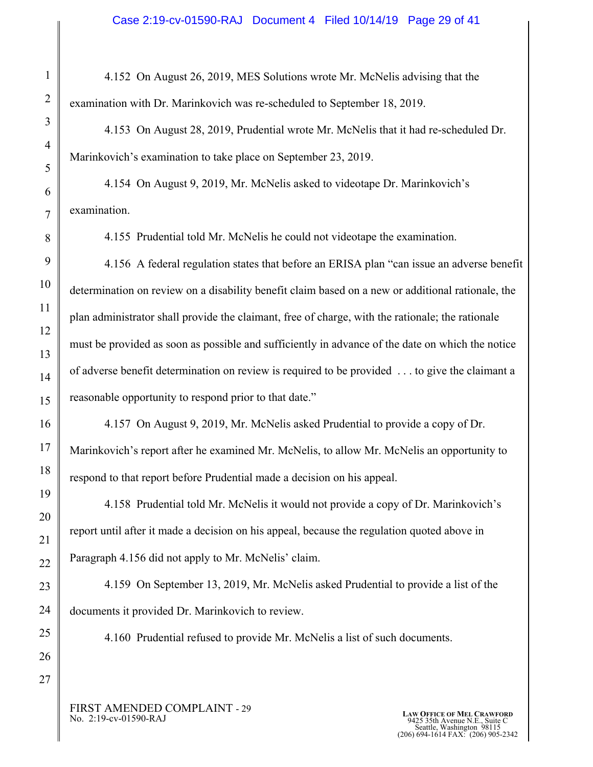4.152 On August 26, 2019, MES Solutions wrote Mr. McNelis advising that the examination with Dr. Marinkovich was re-scheduled to September 18, 2019.

4.153 On August 28, 2019, Prudential wrote Mr. McNelis that it had re-scheduled Dr. Marinkovich's examination to take place on September 23, 2019.

4.154 On August 9, 2019, Mr. McNelis asked to videotape Dr. Marinkovich's examination.

4.155 Prudential told Mr. McNelis he could not videotape the examination.

4.156 A federal regulation states that before an ERISA plan "can issue an adverse benefit determination on review on a disability benefit claim based on a new or additional rationale, the plan administrator shall provide the claimant, free of charge, with the rationale; the rationale must be provided as soon as possible and sufficiently in advance of the date on which the notice of adverse benefit determination on review is required to be provided . . . to give the claimant a reasonable opportunity to respond prior to that date."

4.157 On August 9, 2019, Mr. McNelis asked Prudential to provide a copy of Dr. Marinkovich's report after he examined Mr. McNelis, to allow Mr. McNelis an opportunity to respond to that report before Prudential made a decision on his appeal.

4.158 Prudential told Mr. McNelis it would not provide a copy of Dr. Marinkovich's report until after it made a decision on his appeal, because the regulation quoted above in Paragraph 4.156 did not apply to Mr. McNelis' claim.

4.159 On September 13, 2019, Mr. McNelis asked Prudential to provide a list of the documents it provided Dr. Marinkovich to review.

4.160 Prudential refused to provide Mr. McNelis a list of such documents.

FIRST AMENDED COMPLAINT - 29<br>No. 2:19-cv-01590-RAJ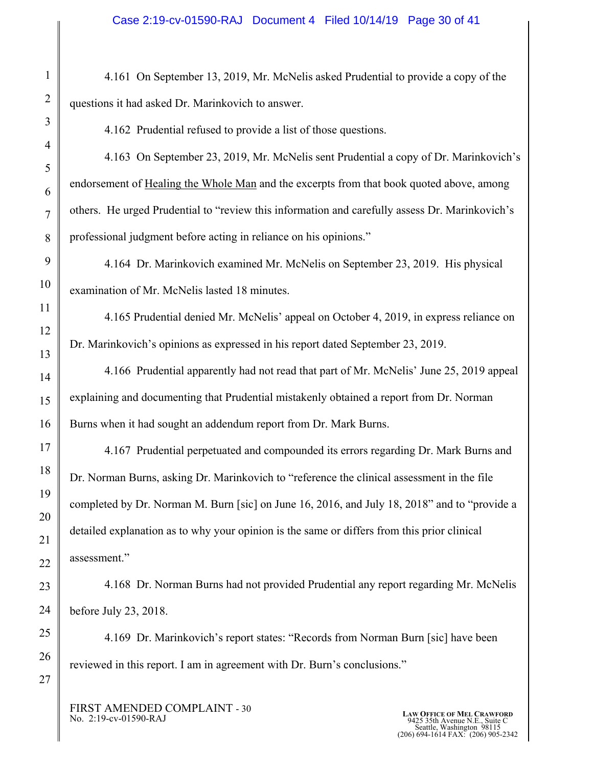4.161 On September 13, 2019, Mr. McNelis asked Prudential to provide a copy of the questions it had asked Dr. Marinkovich to answer.

4.162 Prudential refused to provide a list of those questions.

4.163 On September 23, 2019, Mr. McNelis sent Prudential a copy of Dr. Marinkovich's endorsement of Healing the Whole Man and the excerpts from that book quoted above, among others. He urged Prudential to "review this information and carefully assess Dr. Marinkovich's professional judgment before acting in reliance on his opinions."

4.164 Dr. Marinkovich examined Mr. McNelis on September 23, 2019. His physical examination of Mr. McNelis lasted 18 minutes.

4.165 Prudential denied Mr. McNelis' appeal on October 4, 2019, in express reliance on Dr. Marinkovich's opinions as expressed in his report dated September 23, 2019.

4.166 Prudential apparently had not read that part of Mr. McNelis' June 25, 2019 appeal explaining and documenting that Prudential mistakenly obtained a report from Dr. Norman Burns when it had sought an addendum report from Dr. Mark Burns.

4.167 Prudential perpetuated and compounded its errors regarding Dr. Mark Burns and Dr. Norman Burns, asking Dr. Marinkovich to "reference the clinical assessment in the file completed by Dr. Norman M. Burn [sic] on June 16, 2016, and July 18, 2018" and to "provide a detailed explanation as to why your opinion is the same or differs from this prior clinical assessment."

4.168 Dr. Norman Burns had not provided Prudential any report regarding Mr. McNelis before July 23, 2018.

4.169 Dr. Marinkovich's report states: "Records from Norman Burn [sic] have been reviewed in this report. I am in agreement with Dr. Burn's conclusions."

FIRST AMENDED COMPLAINT - 30<br>No. 2:19-cv-01590-RAJ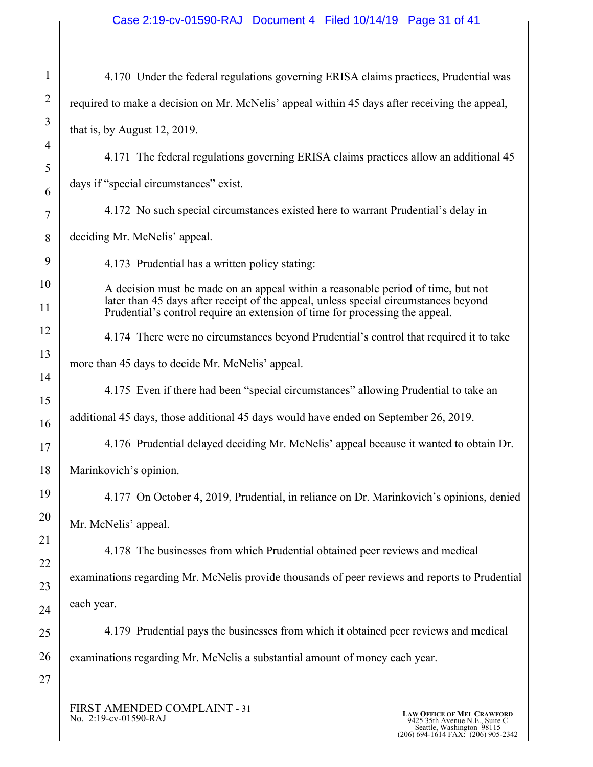# Case 2:19-cv-01590-RAJ Document 4 Filed 10/14/19 Page 31 of 41

| $\mathbf{1}$   | 4.170 Under the federal regulations governing ERISA claims practices, Prudential was                                                                                                            |
|----------------|-------------------------------------------------------------------------------------------------------------------------------------------------------------------------------------------------|
| $\overline{2}$ | required to make a decision on Mr. McNelis' appeal within 45 days after receiving the appeal,                                                                                                   |
| 3              | that is, by August $12$ , $2019$ .                                                                                                                                                              |
| $\overline{4}$ | 4.171 The federal regulations governing ERISA claims practices allow an additional 45                                                                                                           |
| 5<br>6         | days if "special circumstances" exist.                                                                                                                                                          |
| 7              | 4.172 No such special circumstances existed here to warrant Prudential's delay in                                                                                                               |
| 8              | deciding Mr. McNelis' appeal.                                                                                                                                                                   |
| 9              | 4.173 Prudential has a written policy stating:                                                                                                                                                  |
| 10             | A decision must be made on an appeal within a reasonable period of time, but not                                                                                                                |
| 11             | later than 45 days after receipt of the appeal, unless special circumstances beyond<br>Prudential's control require an extension of time for processing the appeal.                             |
| 12             | 4.174 There were no circumstances beyond Prudential's control that required it to take                                                                                                          |
| 13             | more than 45 days to decide Mr. McNelis' appeal.                                                                                                                                                |
| 14             | 4.175 Even if there had been "special circumstances" allowing Prudential to take an                                                                                                             |
| 15<br>16       | additional 45 days, those additional 45 days would have ended on September 26, 2019.                                                                                                            |
| 17             | 4.176 Prudential delayed deciding Mr. McNelis' appeal because it wanted to obtain Dr.                                                                                                           |
| 18             | Marinkovich's opinion.                                                                                                                                                                          |
| 19             | 4.177 On October 4, 2019, Prudential, in reliance on Dr. Marinkovich's opinions, denied                                                                                                         |
| 20             | Mr. McNelis' appeal.                                                                                                                                                                            |
| 21             | 4.178 The businesses from which Prudential obtained peer reviews and medical                                                                                                                    |
| 22             | examinations regarding Mr. McNelis provide thousands of peer reviews and reports to Prudential                                                                                                  |
| 23             | each year.                                                                                                                                                                                      |
| 24<br>25       | 4.179 Prudential pays the businesses from which it obtained peer reviews and medical                                                                                                            |
| 26             | examinations regarding Mr. McNelis a substantial amount of money each year.                                                                                                                     |
| 27             |                                                                                                                                                                                                 |
|                | FIRST AMENDED COMPLAINT - 31<br><b>LAW OFFICE OF MEL CRAWFORD</b><br>No. 2:19-cv-01590-RAJ<br>9425 35th Avenue N.E., Suite C<br>Seattle, Washington 98115<br>(206) 694-1614 FAX: (206) 905-2342 |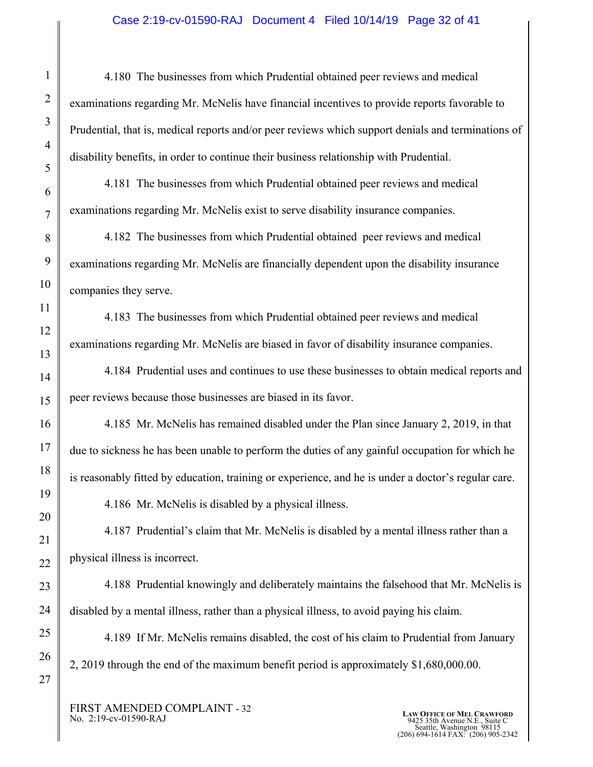#### Case 2:19-cv-01590-RAJ Document 4 Filed 10/14/19 Page 32 of 41

4.180 The businesses from which Prudential obtained peer reviews and medical examinations regarding Mr. McNelis have financial incentives to provide reports favorable to Prudential, that is, medical reports and/or peer reviews which support denials and terminations of disability benefits, in order to continue their business relationship with Prudential.

4.181 The businesses from which Prudential obtained peer reviews and medical examinations regarding Mr. McNelis exist to serve disability insurance companies.

4.182 The businesses from which Prudential obtained peer reviews and medical examinations regarding Mr. McNelis are financially dependent upon the disability insurance companies they serve.

4.183 The businesses from which Prudential obtained peer reviews and medical examinations regarding Mr. McNelis are biased in favor of disability insurance companies.

4.184 Prudential uses and continues to use these businesses to obtain medical reports and peer reviews because those businesses are biased in its favor.

4.185 Mr. McNelis has remained disabled under the Plan since January 2, 2019, in that due to sickness he has been unable to perform the duties of any gainful occupation for which he is reasonably fitted by education, training or experience, and he is under a doctor's regular care.

4.186 Mr. McNelis is disabled by a physical illness.

4.187 Prudential's claim that Mr. McNelis is disabled by a mental illness rather than a physical illness is incorrect.

4.188 Prudential knowingly and deliberately maintains the falsehood that Mr. McNelis is disabled by a mental illness, rather than a physical illness, to avoid paying his claim.

4.189 If Mr. McNelis remains disabled, the cost of his claim to Prudential from January 2, 2019 through the end of the maximum benefit period is approximately \$1,680,000.00.

FIRST AMENDED COMPLAINT - 32<br>No. 2:19-cv-01590-RAJ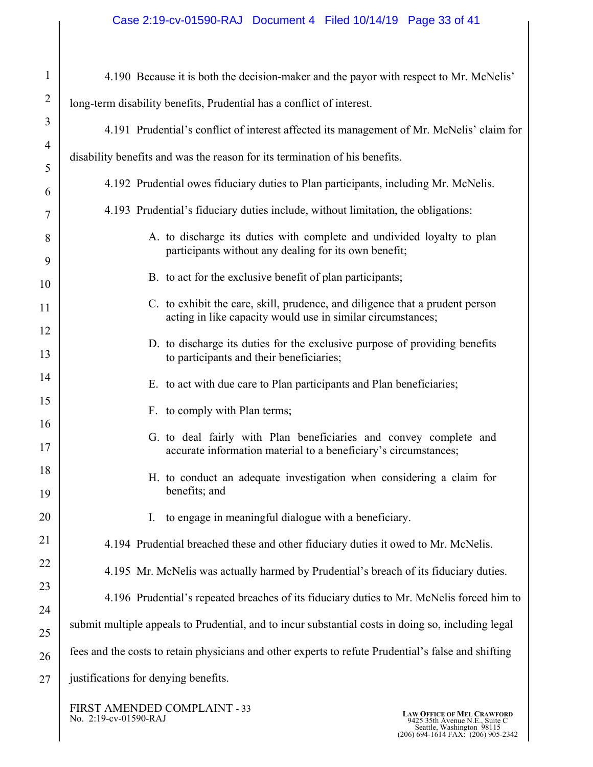## Case 2:19-cv-01590-RAJ Document 4 Filed 10/14/19 Page 33 of 41

| $\mathbf{1}$   | 4.190 Because it is both the decision-maker and the payor with respect to Mr. McNelis'                                                      |
|----------------|---------------------------------------------------------------------------------------------------------------------------------------------|
| $\overline{2}$ | long-term disability benefits, Prudential has a conflict of interest.                                                                       |
| 3              | 4.191 Prudential's conflict of interest affected its management of Mr. McNelis' claim for                                                   |
| $\overline{4}$ | disability benefits and was the reason for its termination of his benefits.                                                                 |
| 5<br>6         | 4.192 Prudential owes fiduciary duties to Plan participants, including Mr. McNelis.                                                         |
| 7              | 4.193 Prudential's fiduciary duties include, without limitation, the obligations:                                                           |
| 8              | A. to discharge its duties with complete and undivided loyalty to plan<br>participants without any dealing for its own benefit;             |
| 9<br>10        | B. to act for the exclusive benefit of plan participants;                                                                                   |
| 11             | C. to exhibit the care, skill, prudence, and diligence that a prudent person<br>acting in like capacity would use in similar circumstances; |
| 12<br>13       | D. to discharge its duties for the exclusive purpose of providing benefits<br>to participants and their beneficiaries;                      |
| 14             | E. to act with due care to Plan participants and Plan beneficiaries;                                                                        |
| 15             | F. to comply with Plan terms;                                                                                                               |
| 16<br>17       | G. to deal fairly with Plan beneficiaries and convey complete and<br>accurate information material to a beneficiary's circumstances;        |
| 18<br>19       | H. to conduct an adequate investigation when considering a claim for<br>benefits; and                                                       |
| 20             | to engage in meaningful dialogue with a beneficiary.<br>I.                                                                                  |
| 21             | 4.194 Prudential breached these and other fiduciary duties it owed to Mr. McNelis.                                                          |
| 22             | 4.195 Mr. McNelis was actually harmed by Prudential's breach of its fiduciary duties.                                                       |
| 23             | 4.196 Prudential's repeated breaches of its fiduciary duties to Mr. McNelis forced him to                                                   |
| 24             | submit multiple appeals to Prudential, and to incur substantial costs in doing so, including legal                                          |
| 25<br>26       | fees and the costs to retain physicians and other experts to refute Prudential's false and shifting                                         |
| 27             | justifications for denying benefits.                                                                                                        |
|                |                                                                                                                                             |

FIRST AMENDED COMPLAINT - 33 No. 2:19-cv-01590-RAJ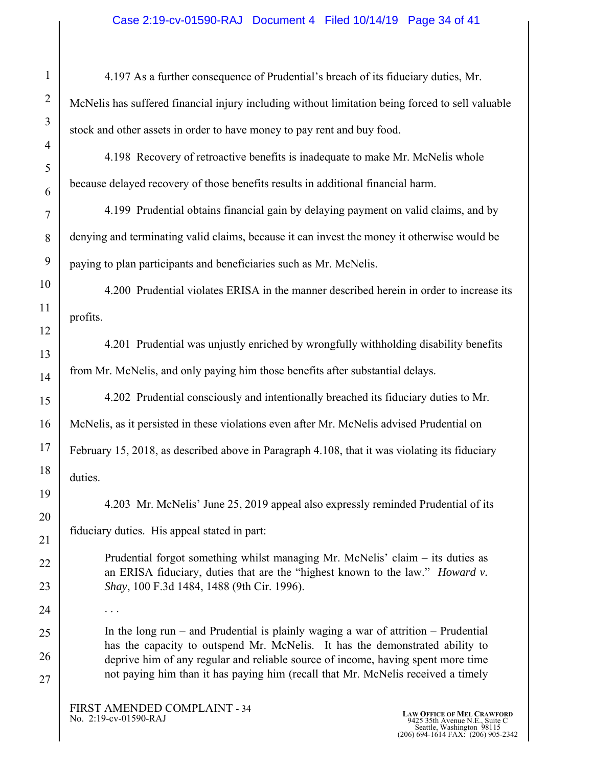4.197 As a further consequence of Prudential's breach of its fiduciary duties, Mr. McNelis has suffered financial injury including without limitation being forced to sell valuable stock and other assets in order to have money to pay rent and buy food.

4.198 Recovery of retroactive benefits is inadequate to make Mr. McNelis whole because delayed recovery of those benefits results in additional financial harm.

4.199 Prudential obtains financial gain by delaying payment on valid claims, and by denying and terminating valid claims, because it can invest the money it otherwise would be paying to plan participants and beneficiaries such as Mr. McNelis.

4.200 Prudential violates ERISA in the manner described herein in order to increase its profits.

4.201 Prudential was unjustly enriched by wrongfully withholding disability benefits from Mr. McNelis, and only paying him those benefits after substantial delays.

4.202 Prudential consciously and intentionally breached its fiduciary duties to Mr. McNelis, as it persisted in these violations even after Mr. McNelis advised Prudential on February 15, 2018, as described above in Paragraph 4.108, that it was violating its fiduciary duties.

4.203 Mr. McNelis' June 25, 2019 appeal also expressly reminded Prudential of its fiduciary duties. His appeal stated in part:

Prudential forgot something whilst managing Mr. McNelis' claim – its duties as an ERISA fiduciary, duties that are the "highest known to the law." *Howard v. Shay*, 100 F.3d 1484, 1488 (9th Cir. 1996).

In the long run – and Prudential is plainly waging a war of attrition – Prudential has the capacity to outspend Mr. McNelis. It has the demonstrated ability to deprive him of any regular and reliable source of income, having spent more time not paying him than it has paying him (recall that Mr. McNelis received a timely

. . .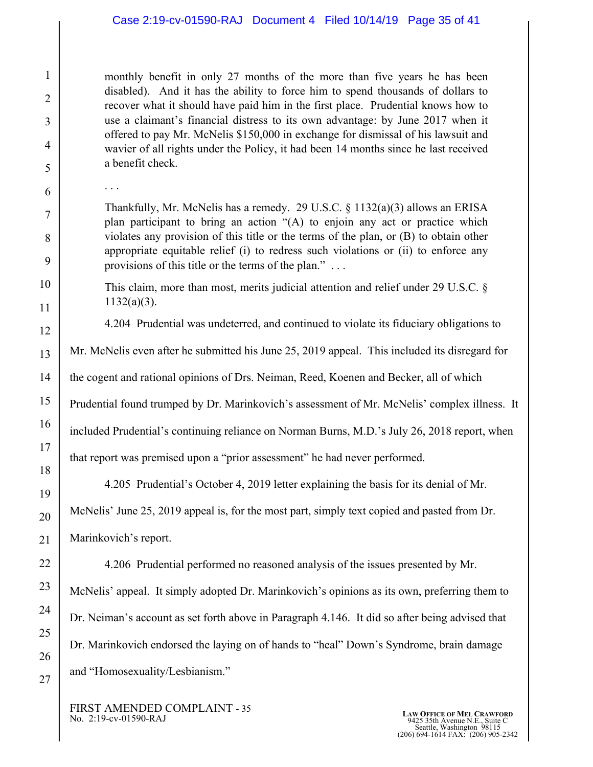# Case 2:19-cv-01590-RAJ Document 4 Filed 10/14/19 Page 35 of 41

monthly benefit in only 27 months of the more than five years he has been disabled). And it has the ability to force him to spend thousands of dollars to recover what it should have paid him in the first place. Prudential knows how to use a claimant's financial distress to its own advantage: by June 2017 when it offered to pay Mr. McNelis \$150,000 in exchange for dismissal of his lawsuit and wavier of all rights under the Policy, it had been 14 months since he last received a benefit check.

. . .

Thankfully, Mr. McNelis has a remedy. 29 U.S.C. § 1132(a)(3) allows an ERISA plan participant to bring an action "(A) to enjoin any act or practice which violates any provision of this title or the terms of the plan, or (B) to obtain other appropriate equitable relief (i) to redress such violations or (ii) to enforce any provisions of this title or the terms of the plan." . . .

This claim, more than most, merits judicial attention and relief under 29 U.S.C. § 1132(a)(3).

4.204 Prudential was undeterred, and continued to violate its fiduciary obligations to

Mr. McNelis even after he submitted his June 25, 2019 appeal. This included its disregard for

the cogent and rational opinions of Drs. Neiman, Reed, Koenen and Becker, all of which

Prudential found trumped by Dr. Marinkovich's assessment of Mr. McNelis' complex illness. It

included Prudential's continuing reliance on Norman Burns, M.D.'s July 26, 2018 report, when

that report was premised upon a "prior assessment" he had never performed.

4.205 Prudential's October 4, 2019 letter explaining the basis for its denial of Mr.

McNelis' June 25, 2019 appeal is, for the most part, simply text copied and pasted from Dr.

Marinkovich's report.

4.206 Prudential performed no reasoned analysis of the issues presented by Mr.

McNelis' appeal. It simply adopted Dr. Marinkovich's opinions as its own, preferring them to Dr. Neiman's account as set forth above in Paragraph 4.146. It did so after being advised that Dr. Marinkovich endorsed the laying on of hands to "heal" Down's Syndrome, brain damage and "Homosexuality/Lesbianism."

FIRST AMENDED COMPLAINT - 35<br>No. 2:19-cv-01590-RAJ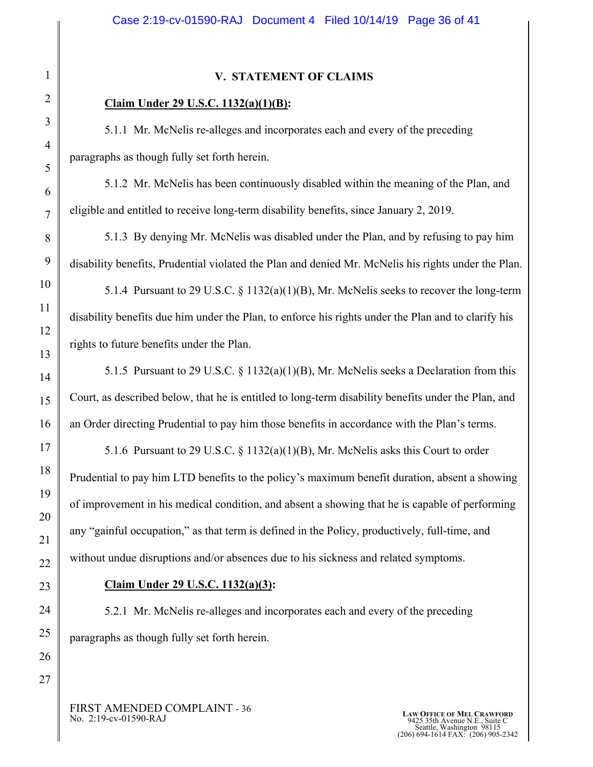# **V. STATEMENT OF CLAIMS**

# **Claim Under 29 U.S.C. 1132(a)(1)(B):**

 5.1.1 Mr. McNelis re-alleges and incorporates each and every of the preceding paragraphs as though fully set forth herein.

5.1.2 Mr. McNelis has been continuously disabled within the meaning of the Plan, and eligible and entitled to receive long-term disability benefits, since January 2, 2019.

 5.1.3 By denying Mr. McNelis was disabled under the Plan, and by refusing to pay him disability benefits, Prudential violated the Plan and denied Mr. McNelis his rights under the Plan.

 5.1.4 Pursuant to 29 U.S.C. § 1132(a)(1)(B), Mr. McNelis seeks to recover the long-term disability benefits due him under the Plan, to enforce his rights under the Plan and to clarify his rights to future benefits under the Plan.

5.1.5 Pursuant to 29 U.S.C.  $\S$  1132(a)(1)(B), Mr. McNelis seeks a Declaration from this Court, as described below, that he is entitled to long-term disability benefits under the Plan, and an Order directing Prudential to pay him those benefits in accordance with the Plan's terms.

 5.1.6 Pursuant to 29 U.S.C. § 1132(a)(1)(B), Mr. McNelis asks this Court to order Prudential to pay him LTD benefits to the policy's maximum benefit duration, absent a showing of improvement in his medical condition, and absent a showing that he is capable of performing any "gainful occupation," as that term is defined in the Policy, productively, full-time, and without undue disruptions and/or absences due to his sickness and related symptoms.

#### **Claim Under 29 U.S.C. 1132(a)(3):**

 5.2.1 Mr. McNelis re-alleges and incorporates each and every of the preceding paragraphs as though fully set forth herein.

FIRST AMENDED COMPLAINT - 36<br>No. 2:19-cv-01590-RAJ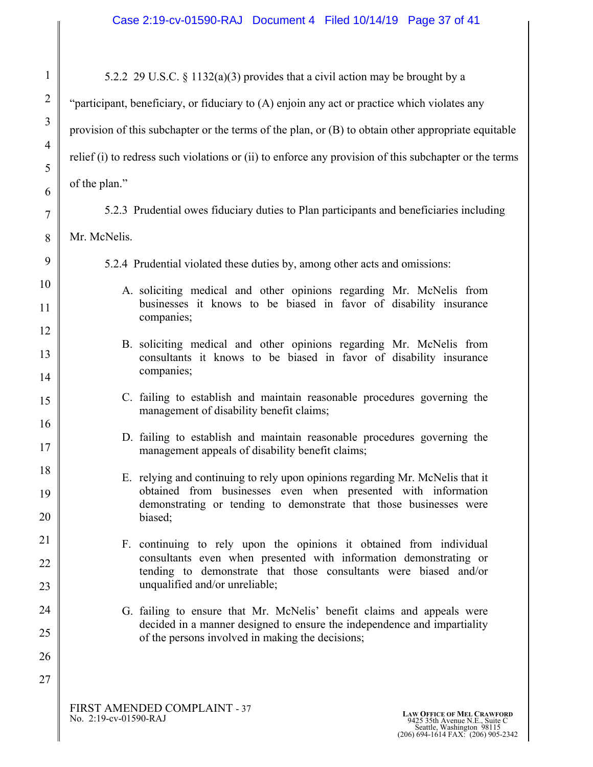| $\mathbf{1}$   | 5.2.2 29 U.S.C. § 1132(a)(3) provides that a civil action may be brought by a                                                                      |
|----------------|----------------------------------------------------------------------------------------------------------------------------------------------------|
| 2              | "participant, beneficiary, or fiduciary to (A) enjoin any act or practice which violates any                                                       |
| 3              | provision of this subchapter or the terms of the plan, or $(B)$ to obtain other appropriate equitable                                              |
| $\overline{4}$ | relief (i) to redress such violations or (ii) to enforce any provision of this subchapter or the terms                                             |
| 5              | of the plan."                                                                                                                                      |
| 6<br>$\tau$    | 5.2.3 Prudential owes fiduciary duties to Plan participants and beneficiaries including                                                            |
| 8              | Mr. McNelis.                                                                                                                                       |
| 9              | 5.2.4 Prudential violated these duties by, among other acts and omissions:                                                                         |
| 10             | A. soliciting medical and other opinions regarding Mr. McNelis from                                                                                |
| 11             | businesses it knows to be biased in favor of disability insurance<br>companies;                                                                    |
| 12             | B. soliciting medical and other opinions regarding Mr. McNelis from                                                                                |
| 13             | consultants it knows to be biased in favor of disability insurance<br>companies;                                                                   |
| 14             |                                                                                                                                                    |
| 15             | C. failing to establish and maintain reasonable procedures governing the<br>management of disability benefit claims;                               |
| 16<br>17       | D. failing to establish and maintain reasonable procedures governing the<br>management appeals of disability benefit claims;                       |
| 18             | E. relying and continuing to rely upon opinions regarding Mr. McNelis that it                                                                      |
| 19             | obtained from businesses even when presented with information<br>demonstrating or tending to demonstrate that those businesses were                |
| 20             | biased;                                                                                                                                            |
| 21             | F. continuing to rely upon the opinions it obtained from individual<br>consultants even when presented with information demonstrating or           |
| 22             | tending to demonstrate that those consultants were biased and/or                                                                                   |
| 23             | unqualified and/or unreliable;                                                                                                                     |
| 24<br>25       | G. failing to ensure that Mr. McNelis' benefit claims and appeals were<br>decided in a manner designed to ensure the independence and impartiality |
| 26             | of the persons involved in making the decisions;                                                                                                   |
| 27             |                                                                                                                                                    |
|                |                                                                                                                                                    |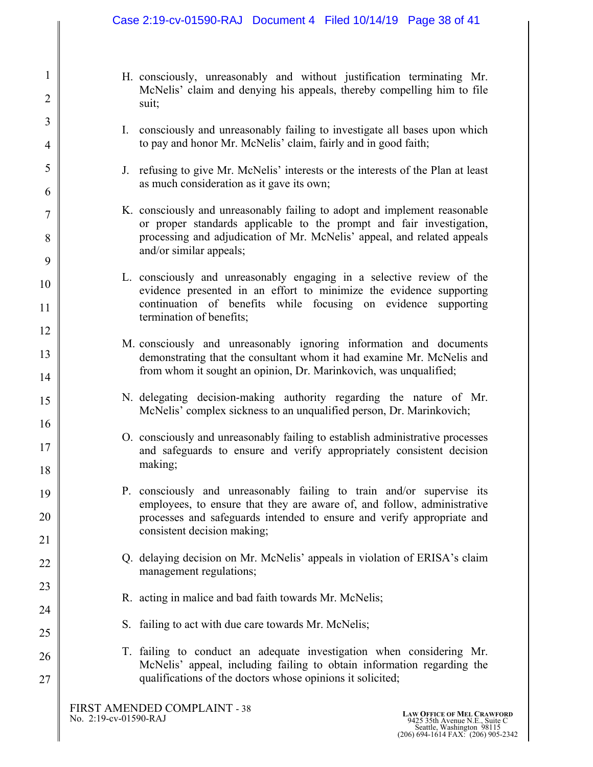- H. consciously, unreasonably and without justification terminating Mr. McNelis' claim and denying his appeals, thereby compelling him to file suit;
- I. consciously and unreasonably failing to investigate all bases upon which to pay and honor Mr. McNelis' claim, fairly and in good faith;
- J. refusing to give Mr. McNelis' interests or the interests of the Plan at least as much consideration as it gave its own;
- K. consciously and unreasonably failing to adopt and implement reasonable or proper standards applicable to the prompt and fair investigation, processing and adjudication of Mr. McNelis' appeal, and related appeals and/or similar appeals;
- L. consciously and unreasonably engaging in a selective review of the evidence presented in an effort to minimize the evidence supporting continuation of benefits while focusing on evidence supporting termination of benefits;
- M. consciously and unreasonably ignoring information and documents demonstrating that the consultant whom it had examine Mr. McNelis and from whom it sought an opinion, Dr. Marinkovich, was unqualified;
- N. delegating decision-making authority regarding the nature of Mr. McNelis' complex sickness to an unqualified person, Dr. Marinkovich;
- O. consciously and unreasonably failing to establish administrative processes and safeguards to ensure and verify appropriately consistent decision making;
- P. consciously and unreasonably failing to train and/or supervise its employees, to ensure that they are aware of, and follow, administrative processes and safeguards intended to ensure and verify appropriate and consistent decision making;
	- Q. delaying decision on Mr. McNelis' appeals in violation of ERISA's claim management regulations;
	- R. acting in malice and bad faith towards Mr. McNelis;
	- S. failing to act with due care towards Mr. McNelis;
	- T. failing to conduct an adequate investigation when considering Mr. McNelis' appeal, including failing to obtain information regarding the qualifications of the doctors whose opinions it solicited;

1

2

3

4

5

6

7

8

9

10

11

12

13

14

15

16

17

18

19

20

21

22

23

24

25

26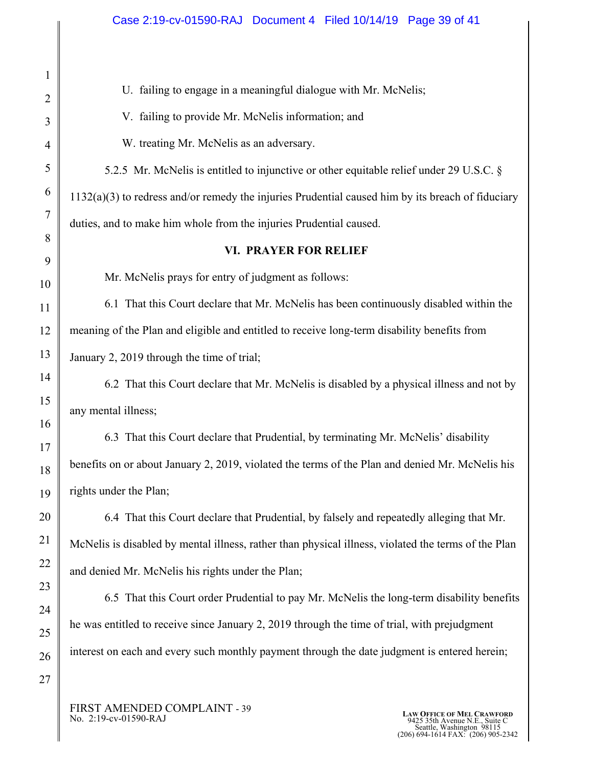U. failing to engage in a meaningful dialogue with Mr. McNelis;

V. failing to provide Mr. McNelis information; and

W. treating Mr. McNelis as an adversary.

 5.2.5 Mr. McNelis is entitled to injunctive or other equitable relief under 29 U.S.C. § 1132(a)(3) to redress and/or remedy the injuries Prudential caused him by its breach of fiduciary duties, and to make him whole from the injuries Prudential caused.

# **VI. PRAYER FOR RELIEF**

Mr. McNelis prays for entry of judgment as follows:

6.1 That this Court declare that Mr. McNelis has been continuously disabled within the meaning of the Plan and eligible and entitled to receive long-term disability benefits from January 2, 2019 through the time of trial;

6.2 That this Court declare that Mr. McNelis is disabled by a physical illness and not by any mental illness;

6.3 That this Court declare that Prudential, by terminating Mr. McNelis' disability benefits on or about January 2, 2019, violated the terms of the Plan and denied Mr. McNelis his rights under the Plan;

6.4 That this Court declare that Prudential, by falsely and repeatedly alleging that Mr. McNelis is disabled by mental illness, rather than physical illness, violated the terms of the Plan and denied Mr. McNelis his rights under the Plan;

 6.5 That this Court order Prudential to pay Mr. McNelis the long-term disability benefits he was entitled to receive since January 2, 2019 through the time of trial, with prejudgment interest on each and every such monthly payment through the date judgment is entered herein;

FIRST AMENDED COMPLAINT - 39<br>No. 2:19-cv-01590-RAJ

LAW OFFICE OF MEL CRAWFORD<br>
No. 2:19-cv-01590-RAJ 
<br>
Seattle, Washington 98115<br>
Seattle, Washington 98115<br>
(206) 694-1614 FAX: (206) 905-2342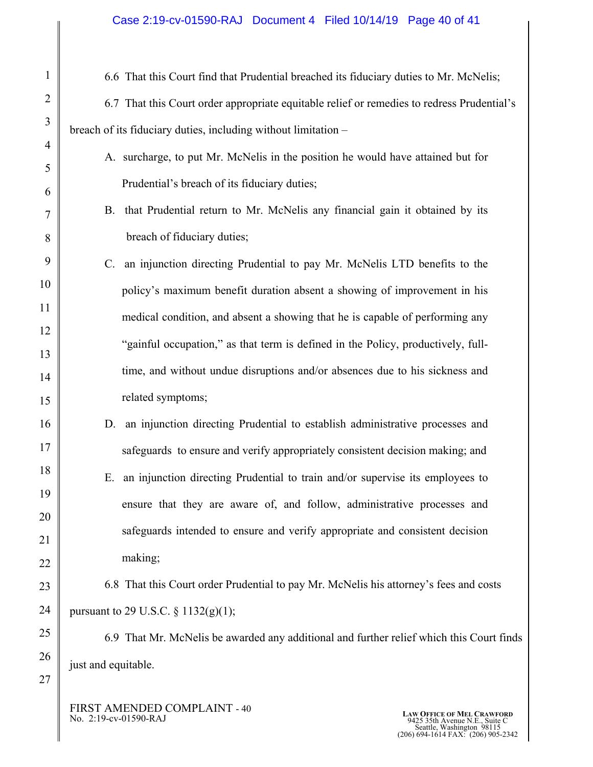#### Case 2:19-cv-01590-RAJ Document 4 Filed 10/14/19 Page 40 of 41

6.6 That this Court find that Prudential breached its fiduciary duties to Mr. McNelis;

6.7 That this Court order appropriate equitable relief or remedies to redress Prudential's breach of its fiduciary duties, including without limitation –

- A. surcharge, to put Mr. McNelis in the position he would have attained but for Prudential's breach of its fiduciary duties;
	- B. that Prudential return to Mr. McNelis any financial gain it obtained by its breach of fiduciary duties;
- C. an injunction directing Prudential to pay Mr. McNelis LTD benefits to the policy's maximum benefit duration absent a showing of improvement in his medical condition, and absent a showing that he is capable of performing any "gainful occupation," as that term is defined in the Policy, productively, fulltime, and without undue disruptions and/or absences due to his sickness and related symptoms;
- D. an injunction directing Prudential to establish administrative processes and safeguards to ensure and verify appropriately consistent decision making; and
	- E. an injunction directing Prudential to train and/or supervise its employees to ensure that they are aware of, and follow, administrative processes and safeguards intended to ensure and verify appropriate and consistent decision making;

 6.8 That this Court order Prudential to pay Mr. McNelis his attorney's fees and costs pursuant to 29 U.S.C.  $\S 1132(g)(1);$ 

 6.9 That Mr. McNelis be awarded any additional and further relief which this Court finds just and equitable.

FIRST AMENDED COMPLAINT - 40<br>No. 2:19-cv-01590-RAJ

27